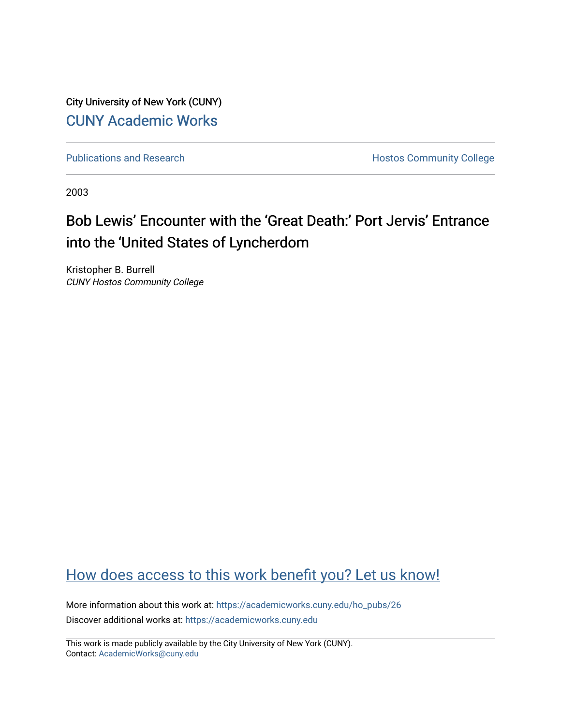City University of New York (CUNY) [CUNY Academic Works](https://academicworks.cuny.edu/) 

[Publications and Research](https://academicworks.cuny.edu/ho_pubs) **Hostos Community College** 

2003

## Bob Lewis' Encounter with the 'Great Death:' Port Jervis' Entrance into the 'United States of Lyncherdom

Kristopher B. Burrell CUNY Hostos Community College

### [How does access to this work benefit you? Let us know!](http://ols.cuny.edu/academicworks/?ref=https://academicworks.cuny.edu/ho_pubs/26)

More information about this work at: [https://academicworks.cuny.edu/ho\\_pubs/26](https://academicworks.cuny.edu/ho_pubs/26) Discover additional works at: [https://academicworks.cuny.edu](https://academicworks.cuny.edu/?)

This work is made publicly available by the City University of New York (CUNY). Contact: [AcademicWorks@cuny.edu](mailto:AcademicWorks@cuny.edu)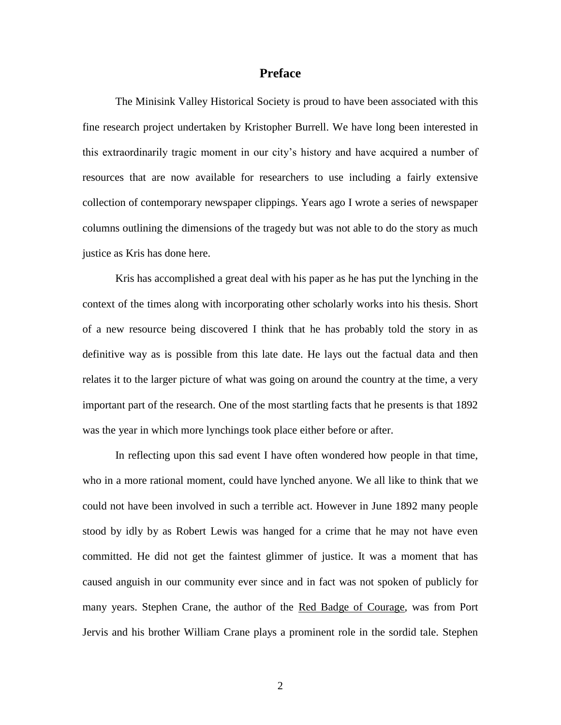#### **Preface**

The Minisink Valley Historical Society is proud to have been associated with this fine research project undertaken by Kristopher Burrell. We have long been interested in this extraordinarily tragic moment in our city's history and have acquired a number of resources that are now available for researchers to use including a fairly extensive collection of contemporary newspaper clippings. Years ago I wrote a series of newspaper columns outlining the dimensions of the tragedy but was not able to do the story as much justice as Kris has done here.

Kris has accomplished a great deal with his paper as he has put the lynching in the context of the times along with incorporating other scholarly works into his thesis. Short of a new resource being discovered I think that he has probably told the story in as definitive way as is possible from this late date. He lays out the factual data and then relates it to the larger picture of what was going on around the country at the time, a very important part of the research. One of the most startling facts that he presents is that 1892 was the year in which more lynchings took place either before or after.

In reflecting upon this sad event I have often wondered how people in that time, who in a more rational moment, could have lynched anyone. We all like to think that we could not have been involved in such a terrible act. However in June 1892 many people stood by idly by as Robert Lewis was hanged for a crime that he may not have even committed. He did not get the faintest glimmer of justice. It was a moment that has caused anguish in our community ever since and in fact was not spoken of publicly for many years. Stephen Crane, the author of the Red Badge of Courage, was from Port Jervis and his brother William Crane plays a prominent role in the sordid tale. Stephen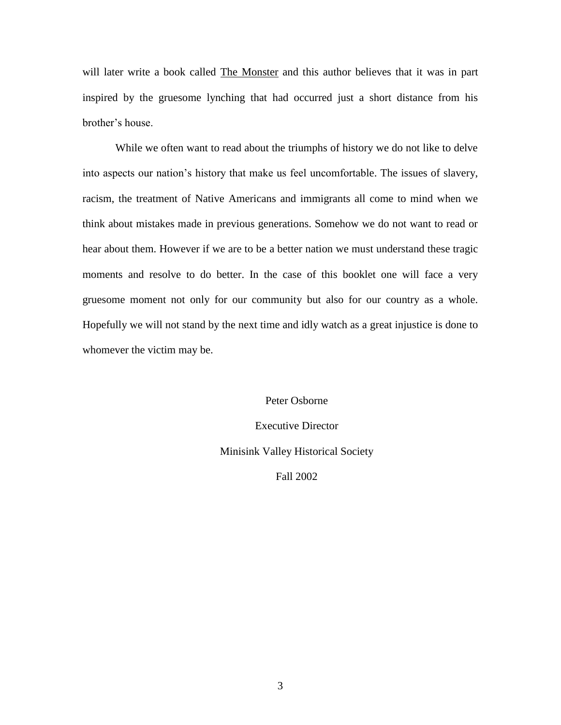will later write a book called The Monster and this author believes that it was in part inspired by the gruesome lynching that had occurred just a short distance from his brother's house.

While we often want to read about the triumphs of history we do not like to delve into aspects our nation's history that make us feel uncomfortable. The issues of slavery, racism, the treatment of Native Americans and immigrants all come to mind when we think about mistakes made in previous generations. Somehow we do not want to read or hear about them. However if we are to be a better nation we must understand these tragic moments and resolve to do better. In the case of this booklet one will face a very gruesome moment not only for our community but also for our country as a whole. Hopefully we will not stand by the next time and idly watch as a great injustice is done to whomever the victim may be.

> Peter Osborne Executive Director Minisink Valley Historical Society Fall 2002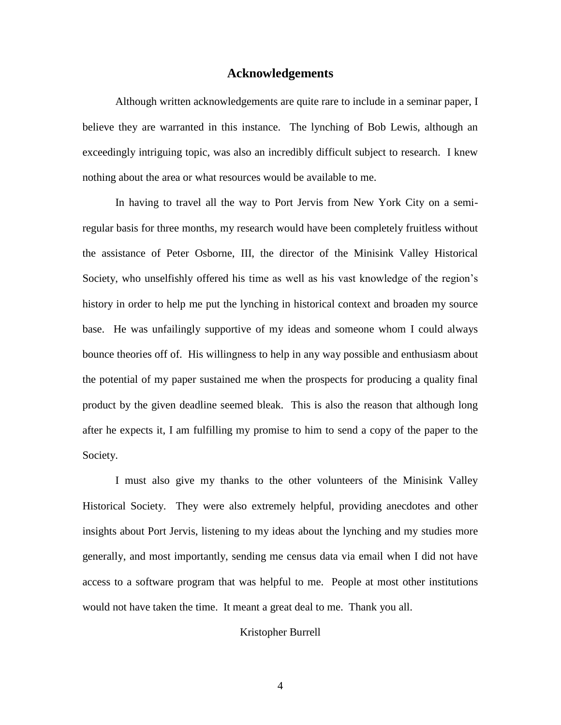#### **Acknowledgements**

Although written acknowledgements are quite rare to include in a seminar paper, I believe they are warranted in this instance. The lynching of Bob Lewis, although an exceedingly intriguing topic, was also an incredibly difficult subject to research. I knew nothing about the area or what resources would be available to me.

In having to travel all the way to Port Jervis from New York City on a semiregular basis for three months, my research would have been completely fruitless without the assistance of Peter Osborne, III, the director of the Minisink Valley Historical Society, who unselfishly offered his time as well as his vast knowledge of the region's history in order to help me put the lynching in historical context and broaden my source base. He was unfailingly supportive of my ideas and someone whom I could always bounce theories off of. His willingness to help in any way possible and enthusiasm about the potential of my paper sustained me when the prospects for producing a quality final product by the given deadline seemed bleak. This is also the reason that although long after he expects it, I am fulfilling my promise to him to send a copy of the paper to the Society.

I must also give my thanks to the other volunteers of the Minisink Valley Historical Society. They were also extremely helpful, providing anecdotes and other insights about Port Jervis, listening to my ideas about the lynching and my studies more generally, and most importantly, sending me census data via email when I did not have access to a software program that was helpful to me. People at most other institutions would not have taken the time. It meant a great deal to me. Thank you all.

#### Kristopher Burrell

4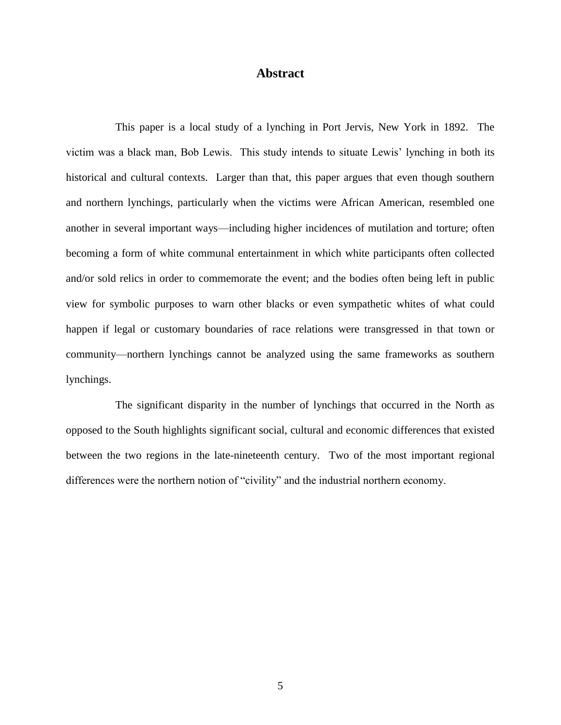#### **Abstract**

This paper is a local study of a lynching in Port Jervis, New York in 1892. The victim was a black man, Bob Lewis. This study intends to situate Lewis' lynching in both its historical and cultural contexts. Larger than that, this paper argues that even though southern and northern lynchings, particularly when the victims were African American, resembled one another in several important ways—including higher incidences of mutilation and torture; often becoming a form of white communal entertainment in which white participants often collected and/or sold relics in order to commemorate the event; and the bodies often being left in public view for symbolic purposes to warn other blacks or even sympathetic whites of what could happen if legal or customary boundaries of race relations were transgressed in that town or community—northern lynchings cannot be analyzed using the same frameworks as southern lynchings.

The significant disparity in the number of lynchings that occurred in the North as opposed to the South highlights significant social, cultural and economic differences that existed between the two regions in the late-nineteenth century. Two of the most important regional differences were the northern notion of "civility" and the industrial northern economy.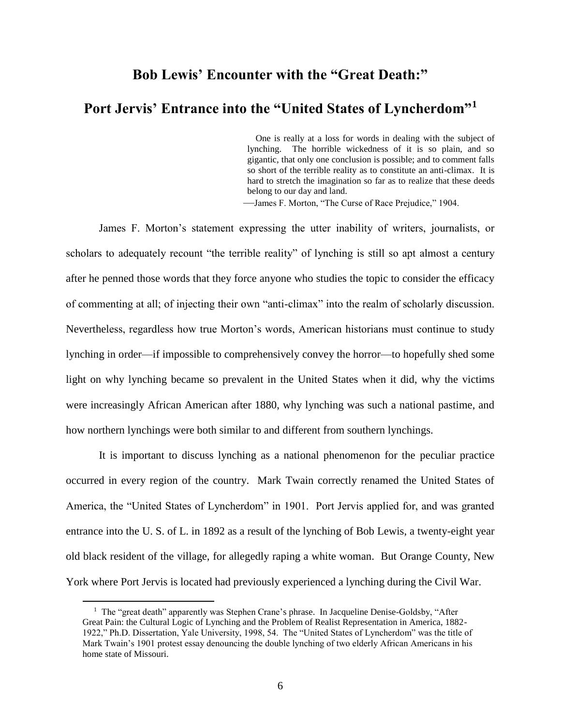# **Bob Lewis' Encounter with the "Great Death:" Port Jervis' Entrance into the "United States of Lyncherdom"<sup>1</sup>**

 One is really at a loss for words in dealing with the subject of lynching. The horrible wickedness of it is so plain, and so gigantic, that only one conclusion is possible; and to comment falls so short of the terrible reality as to constitute an anti-climax. It is hard to stretch the imagination so far as to realize that these deeds belong to our day and land.

—James F. Morton, "The Curse of Race Prejudice," 1904.

James F. Morton's statement expressing the utter inability of writers, journalists, or scholars to adequately recount "the terrible reality" of lynching is still so apt almost a century after he penned those words that they force anyone who studies the topic to consider the efficacy of commenting at all; of injecting their own "anti-climax" into the realm of scholarly discussion. Nevertheless, regardless how true Morton's words, American historians must continue to study lynching in order—if impossible to comprehensively convey the horror—to hopefully shed some light on why lynching became so prevalent in the United States when it did, why the victims were increasingly African American after 1880, why lynching was such a national pastime, and how northern lynchings were both similar to and different from southern lynchings.

It is important to discuss lynching as a national phenomenon for the peculiar practice occurred in every region of the country. Mark Twain correctly renamed the United States of America, the "United States of Lyncherdom" in 1901. Port Jervis applied for, and was granted entrance into the U. S. of L. in 1892 as a result of the lynching of Bob Lewis, a twenty-eight year old black resident of the village, for allegedly raping a white woman. But Orange County, New York where Port Jervis is located had previously experienced a lynching during the Civil War.

<sup>&</sup>lt;sup>1</sup> The "great death" apparently was Stephen Crane's phrase. In Jacqueline Denise-Goldsby, "After Great Pain: the Cultural Logic of Lynching and the Problem of Realist Representation in America, 1882- 1922," Ph.D. Dissertation, Yale University, 1998, 54. The "United States of Lyncherdom" was the title of Mark Twain's 1901 protest essay denouncing the double lynching of two elderly African Americans in his home state of Missouri.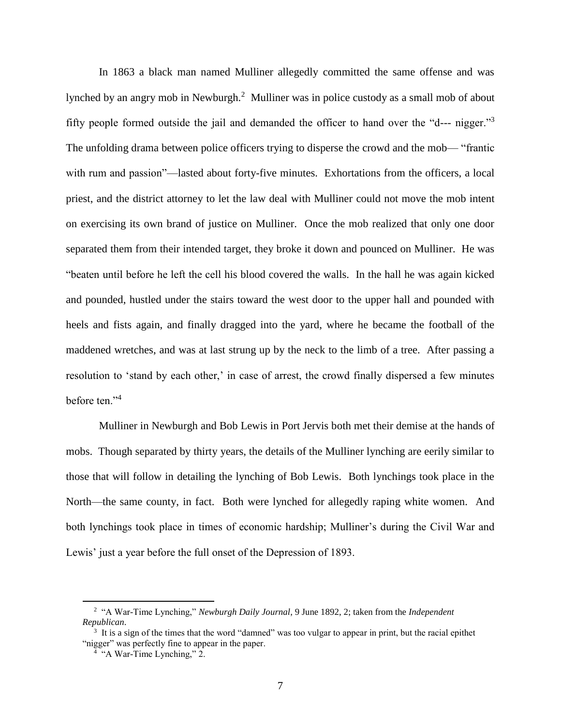In 1863 a black man named Mulliner allegedly committed the same offense and was lynched by an angry mob in Newburgh.<sup>2</sup> Mulliner was in police custody as a small mob of about fifty people formed outside the jail and demanded the officer to hand over the "d--- nigger."<sup>3</sup> The unfolding drama between police officers trying to disperse the crowd and the mob— "frantic with rum and passion"—lasted about forty-five minutes. Exhortations from the officers, a local priest, and the district attorney to let the law deal with Mulliner could not move the mob intent on exercising its own brand of justice on Mulliner. Once the mob realized that only one door separated them from their intended target, they broke it down and pounced on Mulliner. He was "beaten until before he left the cell his blood covered the walls. In the hall he was again kicked and pounded, hustled under the stairs toward the west door to the upper hall and pounded with heels and fists again, and finally dragged into the yard, where he became the football of the maddened wretches, and was at last strung up by the neck to the limb of a tree. After passing a resolution to 'stand by each other,' in case of arrest, the crowd finally dispersed a few minutes before ten."<sup>4</sup>

Mulliner in Newburgh and Bob Lewis in Port Jervis both met their demise at the hands of mobs. Though separated by thirty years, the details of the Mulliner lynching are eerily similar to those that will follow in detailing the lynching of Bob Lewis. Both lynchings took place in the North—the same county, in fact. Both were lynched for allegedly raping white women. And both lynchings took place in times of economic hardship; Mulliner's during the Civil War and Lewis' just a year before the full onset of the Depression of 1893.

<sup>2</sup> "A War-Time Lynching," *Newburgh Daily Journal*, 9 June 1892, 2; taken from the *Independent Republican*.

<sup>&</sup>lt;sup>3</sup> It is a sign of the times that the word "damned" was too vulgar to appear in print, but the racial epithet "nigger" was perfectly fine to appear in the paper.

<sup>&</sup>lt;sup>4</sup> "A War-Time Lynching," 2.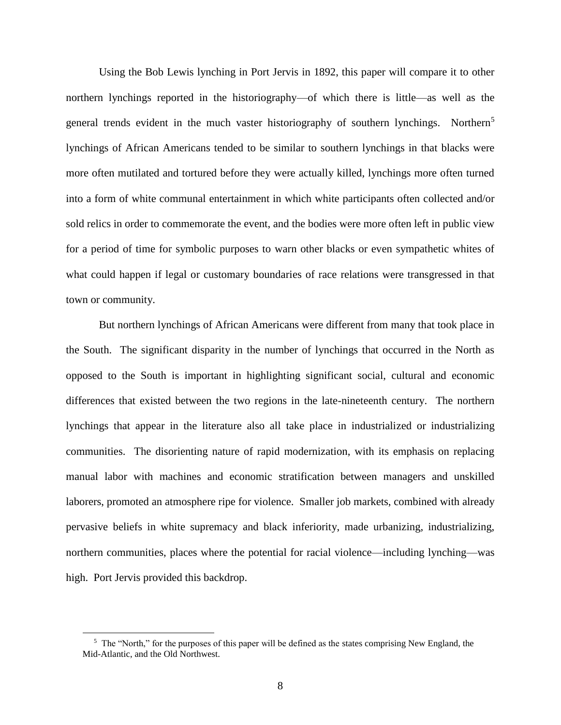Using the Bob Lewis lynching in Port Jervis in 1892, this paper will compare it to other northern lynchings reported in the historiography—of which there is little—as well as the general trends evident in the much vaster historiography of southern lynchings. Northern<sup>5</sup> lynchings of African Americans tended to be similar to southern lynchings in that blacks were more often mutilated and tortured before they were actually killed, lynchings more often turned into a form of white communal entertainment in which white participants often collected and/or sold relics in order to commemorate the event, and the bodies were more often left in public view for a period of time for symbolic purposes to warn other blacks or even sympathetic whites of what could happen if legal or customary boundaries of race relations were transgressed in that town or community.

But northern lynchings of African Americans were different from many that took place in the South. The significant disparity in the number of lynchings that occurred in the North as opposed to the South is important in highlighting significant social, cultural and economic differences that existed between the two regions in the late-nineteenth century. The northern lynchings that appear in the literature also all take place in industrialized or industrializing communities. The disorienting nature of rapid modernization, with its emphasis on replacing manual labor with machines and economic stratification between managers and unskilled laborers, promoted an atmosphere ripe for violence. Smaller job markets, combined with already pervasive beliefs in white supremacy and black inferiority, made urbanizing, industrializing, northern communities, places where the potential for racial violence—including lynching—was high. Port Jervis provided this backdrop.

 $5$  The "North," for the purposes of this paper will be defined as the states comprising New England, the Mid-Atlantic, and the Old Northwest.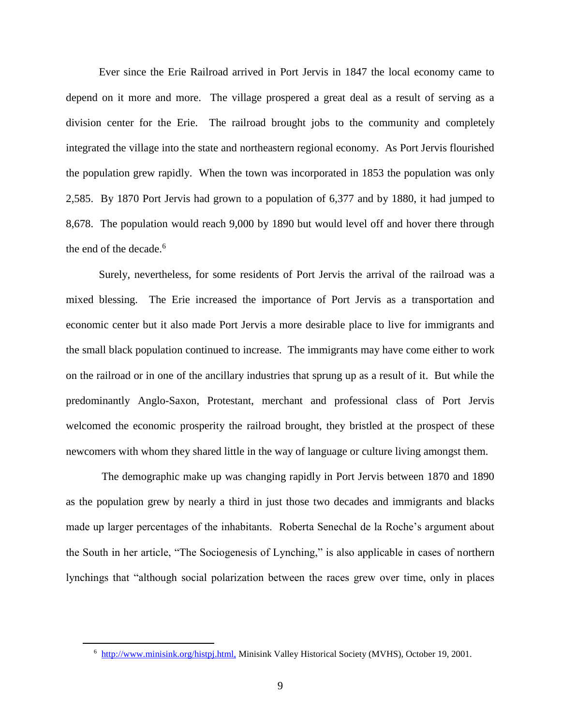Ever since the Erie Railroad arrived in Port Jervis in 1847 the local economy came to depend on it more and more. The village prospered a great deal as a result of serving as a division center for the Erie. The railroad brought jobs to the community and completely integrated the village into the state and northeastern regional economy. As Port Jervis flourished the population grew rapidly. When the town was incorporated in 1853 the population was only 2,585. By 1870 Port Jervis had grown to a population of 6,377 and by 1880, it had jumped to 8,678. The population would reach 9,000 by 1890 but would level off and hover there through the end of the decade.<sup>6</sup>

Surely, nevertheless, for some residents of Port Jervis the arrival of the railroad was a mixed blessing. The Erie increased the importance of Port Jervis as a transportation and economic center but it also made Port Jervis a more desirable place to live for immigrants and the small black population continued to increase. The immigrants may have come either to work on the railroad or in one of the ancillary industries that sprung up as a result of it. But while the predominantly Anglo-Saxon, Protestant, merchant and professional class of Port Jervis welcomed the economic prosperity the railroad brought, they bristled at the prospect of these newcomers with whom they shared little in the way of language or culture living amongst them.

The demographic make up was changing rapidly in Port Jervis between 1870 and 1890 as the population grew by nearly a third in just those two decades and immigrants and blacks made up larger percentages of the inhabitants. Roberta Senechal de la Roche's argument about the South in her article, "The Sociogenesis of Lynching," is also applicable in cases of northern lynchings that "although social polarization between the races grew over time, only in places

<sup>&</sup>lt;sup>6</sup> http://www.minisink.org/histpj.html, Minisink Valley Historical Society (MVHS), October 19, 2001.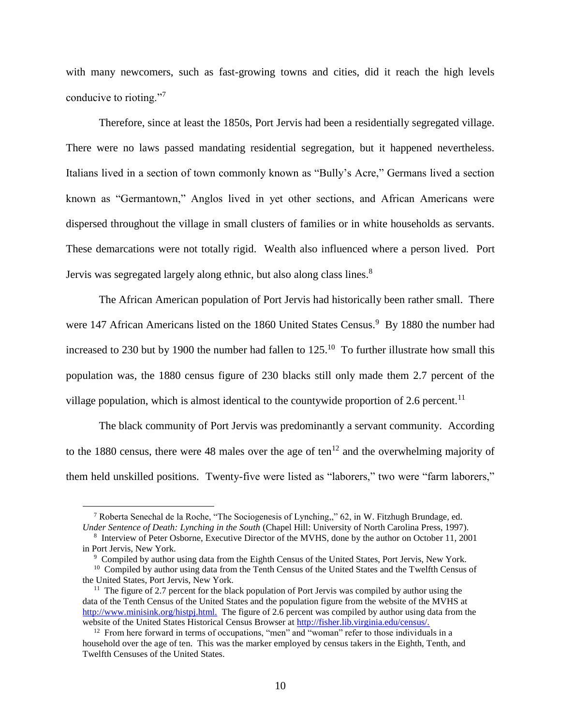with many newcomers, such as fast-growing towns and cities, did it reach the high levels conducive to rioting."<sup>7</sup>

Therefore, since at least the 1850s, Port Jervis had been a residentially segregated village. There were no laws passed mandating residential segregation, but it happened nevertheless. Italians lived in a section of town commonly known as "Bully's Acre," Germans lived a section known as "Germantown," Anglos lived in yet other sections, and African Americans were dispersed throughout the village in small clusters of families or in white households as servants. These demarcations were not totally rigid. Wealth also influenced where a person lived. Port Jervis was segregated largely along ethnic, but also along class lines.<sup>8</sup>

The African American population of Port Jervis had historically been rather small. There were 147 African Americans listed on the 1860 United States Census.<sup>9</sup> By 1880 the number had increased to 230 but by 1900 the number had fallen to  $125$ .<sup>10</sup> To further illustrate how small this population was, the 1880 census figure of 230 blacks still only made them 2.7 percent of the village population, which is almost identical to the countywide proportion of 2.6 percent.<sup>11</sup>

The black community of Port Jervis was predominantly a servant community. According to the 1880 census, there were 48 males over the age of ten<sup>12</sup> and the overwhelming majority of them held unskilled positions. Twenty-five were listed as "laborers," two were "farm laborers,"

<sup>7</sup> Roberta Senechal de la Roche, "The Sociogenesis of Lynching,," 62, in W. Fitzhugh Brundage, ed. *Under Sentence of Death: Lynching in the South* (Chapel Hill: University of North Carolina Press, 1997).

<sup>8</sup> Interview of Peter Osborne, Executive Director of the MVHS, done by the author on October 11, 2001 in Port Jervis, New York.

<sup>&</sup>lt;sup>9</sup> Compiled by author using data from the Eighth Census of the United States, Port Jervis, New York.

<sup>&</sup>lt;sup>10</sup> Compiled by author using data from the Tenth Census of the United States and the Twelfth Census of the United States, Port Jervis, New York.

 $11$  The figure of 2.7 percent for the black population of Port Jervis was compiled by author using the data of the Tenth Census of the United States and the population figure from the website of the MVHS at http://www.minisink.org/histpj.html. The figure of 2.6 percent was compiled by author using data from the website of the United States Historical Census Browser at http://fisher.lib.virginia.edu/census/.

 $12$  From here forward in terms of occupations, "men" and "woman" refer to those individuals in a household over the age of ten. This was the marker employed by census takers in the Eighth, Tenth, and Twelfth Censuses of the United States.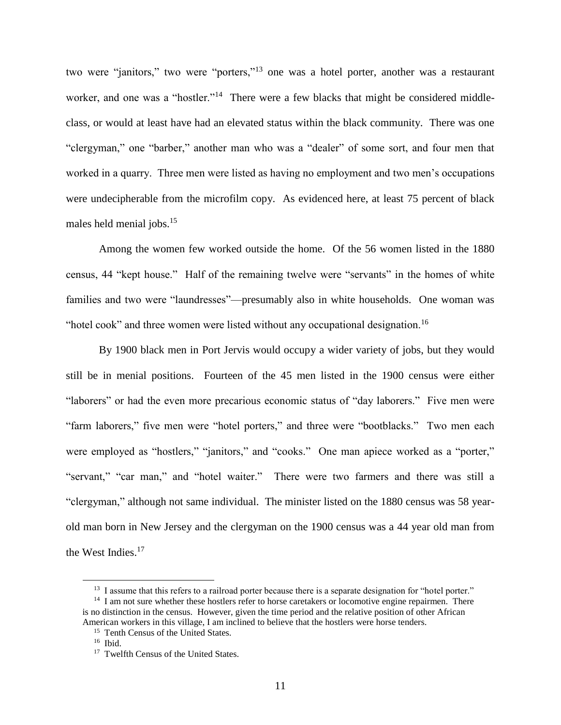two were "janitors," two were "porters,"<sup>13</sup> one was a hotel porter, another was a restaurant worker, and one was a "hostler."<sup>14</sup> There were a few blacks that might be considered middleclass, or would at least have had an elevated status within the black community. There was one "clergyman," one "barber," another man who was a "dealer" of some sort, and four men that worked in a quarry. Three men were listed as having no employment and two men's occupations were undecipherable from the microfilm copy. As evidenced here, at least 75 percent of black males held menial jobs.<sup>15</sup>

Among the women few worked outside the home. Of the 56 women listed in the 1880 census, 44 "kept house." Half of the remaining twelve were "servants" in the homes of white families and two were "laundresses"—presumably also in white households. One woman was "hotel cook" and three women were listed without any occupational designation.<sup>16</sup>

By 1900 black men in Port Jervis would occupy a wider variety of jobs, but they would still be in menial positions. Fourteen of the 45 men listed in the 1900 census were either "laborers" or had the even more precarious economic status of "day laborers." Five men were "farm laborers," five men were "hotel porters," and three were "bootblacks." Two men each were employed as "hostlers," "janitors," and "cooks." One man apiece worked as a "porter," "servant," "car man," and "hotel waiter." There were two farmers and there was still a "clergyman," although not same individual. The minister listed on the 1880 census was 58 yearold man born in New Jersey and the clergyman on the 1900 census was a 44 year old man from the West Indies.<sup>17</sup>

<sup>&</sup>lt;sup>13</sup> I assume that this refers to a railroad porter because there is a separate designation for "hotel porter."

<sup>&</sup>lt;sup>14</sup> I am not sure whether these hostlers refer to horse caretakers or locomotive engine repairmen. There is no distinction in the census. However, given the time period and the relative position of other African American workers in this village, I am inclined to believe that the hostlers were horse tenders.

<sup>&</sup>lt;sup>15</sup> Tenth Census of the United States.

<sup>16</sup> Ibid.

<sup>&</sup>lt;sup>17</sup> Twelfth Census of the United States.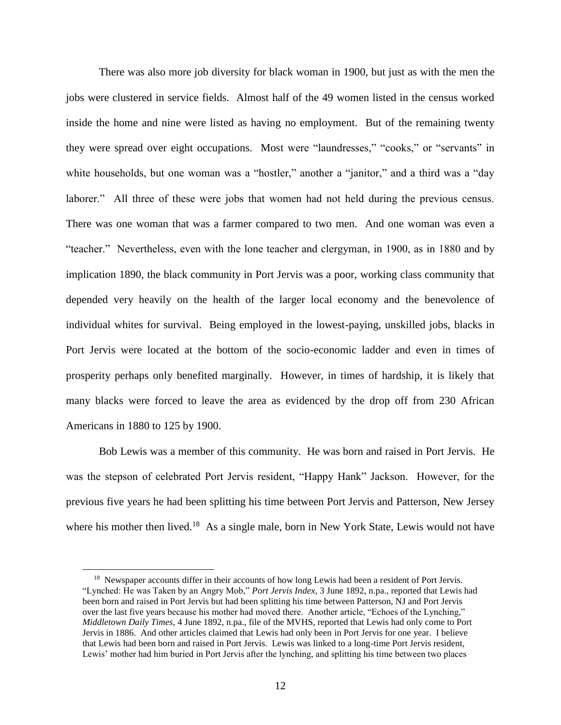There was also more job diversity for black woman in 1900, but just as with the men the jobs were clustered in service fields. Almost half of the 49 women listed in the census worked inside the home and nine were listed as having no employment. But of the remaining twenty they were spread over eight occupations. Most were "laundresses," "cooks," or "servants" in white households, but one woman was a "hostler," another a "janitor," and a third was a "day laborer." All three of these were jobs that women had not held during the previous census. There was one woman that was a farmer compared to two men. And one woman was even a "teacher." Nevertheless, even with the lone teacher and clergyman, in 1900, as in 1880 and by implication 1890, the black community in Port Jervis was a poor, working class community that depended very heavily on the health of the larger local economy and the benevolence of individual whites for survival. Being employed in the lowest-paying, unskilled jobs, blacks in Port Jervis were located at the bottom of the socio-economic ladder and even in times of prosperity perhaps only benefited marginally. However, in times of hardship, it is likely that many blacks were forced to leave the area as evidenced by the drop off from 230 African Americans in 1880 to 125 by 1900.

Bob Lewis was a member of this community. He was born and raised in Port Jervis. He was the stepson of celebrated Port Jervis resident, "Happy Hank" Jackson. However, for the previous five years he had been splitting his time between Port Jervis and Patterson, New Jersey where his mother then lived.<sup>18</sup> As a single male, born in New York State, Lewis would not have

<sup>&</sup>lt;sup>18</sup> Newspaper accounts differ in their accounts of how long Lewis had been a resident of Port Jervis. "Lynched: He was Taken by an Angry Mob," *Port Jervis Index*, 3 June 1892, n.pa., reported that Lewis had been born and raised in Port Jervis but had been splitting his time between Patterson, NJ and Port Jervis over the last five years because his mother had moved there. Another article, "Echoes of the Lynching," *Middletown Daily Times*, 4 June 1892, n.pa., file of the MVHS, reported that Lewis had only come to Port Jervis in 1886. And other articles claimed that Lewis had only been in Port Jervis for one year. I believe that Lewis had been born and raised in Port Jervis. Lewis was linked to a long-time Port Jervis resident, Lewis' mother had him buried in Port Jervis after the lynching, and splitting his time between two places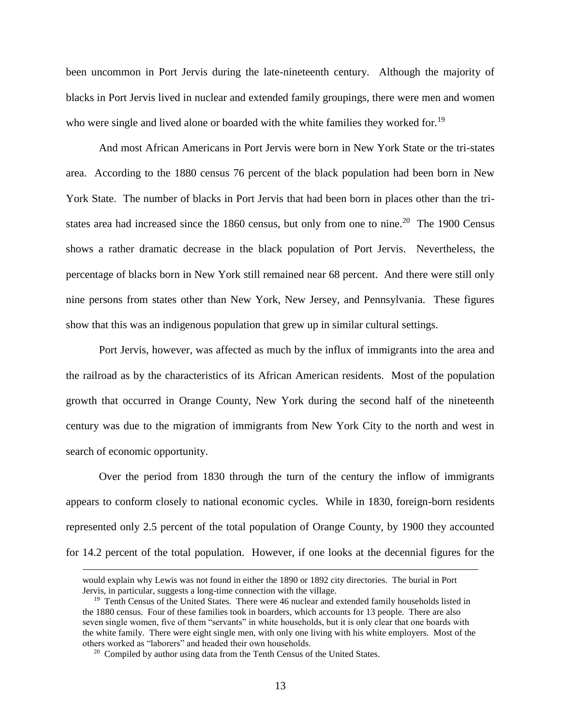been uncommon in Port Jervis during the late-nineteenth century. Although the majority of blacks in Port Jervis lived in nuclear and extended family groupings, there were men and women who were single and lived alone or boarded with the white families they worked for.<sup>19</sup>

And most African Americans in Port Jervis were born in New York State or the tri-states area. According to the 1880 census 76 percent of the black population had been born in New York State. The number of blacks in Port Jervis that had been born in places other than the tristates area had increased since the  $1860$  census, but only from one to nine.<sup>20</sup> The 1900 Census shows a rather dramatic decrease in the black population of Port Jervis. Nevertheless, the percentage of blacks born in New York still remained near 68 percent. And there were still only nine persons from states other than New York, New Jersey, and Pennsylvania. These figures show that this was an indigenous population that grew up in similar cultural settings.

Port Jervis, however, was affected as much by the influx of immigrants into the area and the railroad as by the characteristics of its African American residents. Most of the population growth that occurred in Orange County, New York during the second half of the nineteenth century was due to the migration of immigrants from New York City to the north and west in search of economic opportunity.

Over the period from 1830 through the turn of the century the inflow of immigrants appears to conform closely to national economic cycles. While in 1830, foreign-born residents represented only 2.5 percent of the total population of Orange County, by 1900 they accounted for 14.2 percent of the total population. However, if one looks at the decennial figures for the

would explain why Lewis was not found in either the 1890 or 1892 city directories. The burial in Port Jervis, in particular, suggests a long-time connection with the village.

<sup>&</sup>lt;sup>19</sup> Tenth Census of the United States. There were 46 nuclear and extended family households listed in the 1880 census. Four of these families took in boarders, which accounts for 13 people. There are also seven single women, five of them "servants" in white households, but it is only clear that one boards with the white family. There were eight single men, with only one living with his white employers. Most of the others worked as "laborers" and headed their own households.

 $20$  Compiled by author using data from the Tenth Census of the United States.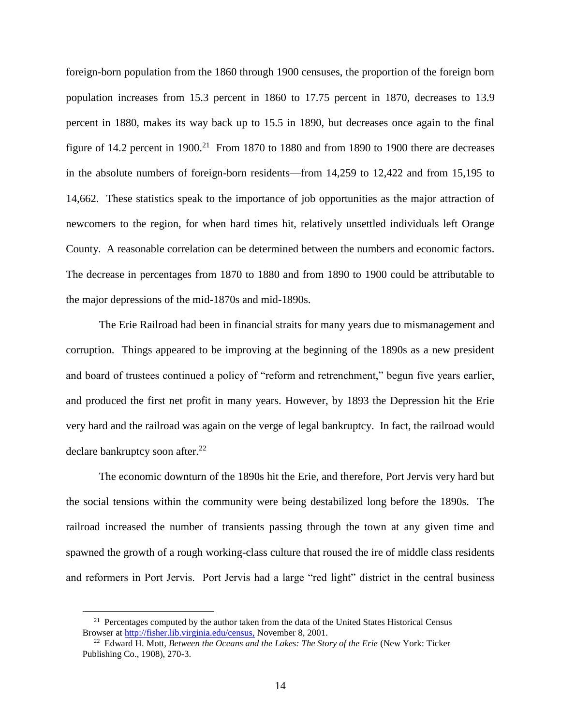foreign-born population from the 1860 through 1900 censuses, the proportion of the foreign born population increases from 15.3 percent in 1860 to 17.75 percent in 1870, decreases to 13.9 percent in 1880, makes its way back up to 15.5 in 1890, but decreases once again to the final figure of 14.2 percent in 1900.<sup>21</sup> From 1870 to 1880 and from 1890 to 1900 there are decreases in the absolute numbers of foreign-born residents—from 14,259 to 12,422 and from 15,195 to 14,662. These statistics speak to the importance of job opportunities as the major attraction of newcomers to the region, for when hard times hit, relatively unsettled individuals left Orange County. A reasonable correlation can be determined between the numbers and economic factors. The decrease in percentages from 1870 to 1880 and from 1890 to 1900 could be attributable to the major depressions of the mid-1870s and mid-1890s.

The Erie Railroad had been in financial straits for many years due to mismanagement and corruption. Things appeared to be improving at the beginning of the 1890s as a new president and board of trustees continued a policy of "reform and retrenchment," begun five years earlier, and produced the first net profit in many years. However, by 1893 the Depression hit the Erie very hard and the railroad was again on the verge of legal bankruptcy. In fact, the railroad would declare bankruptcy soon after.<sup>22</sup>

The economic downturn of the 1890s hit the Erie, and therefore, Port Jervis very hard but the social tensions within the community were being destabilized long before the 1890s. The railroad increased the number of transients passing through the town at any given time and spawned the growth of a rough working-class culture that roused the ire of middle class residents and reformers in Port Jervis. Port Jervis had a large "red light" district in the central business

<sup>&</sup>lt;sup>21</sup> Percentages computed by the author taken from the data of the United States Historical Census Browser at http://fisher.lib.virginia.edu/census, November 8, 2001.

<sup>22</sup> Edward H. Mott, *Between the Oceans and the Lakes: The Story of the Erie* (New York: Ticker Publishing Co., 1908), 270-3.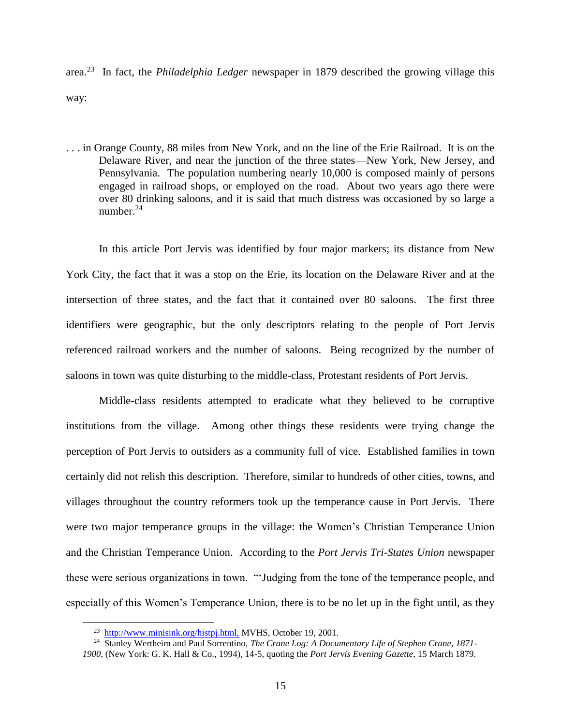area.<sup>23</sup> In fact, the *Philadelphia Ledger* newspaper in 1879 described the growing village this way:

. . . in Orange County, 88 miles from New York, and on the line of the Erie Railroad. It is on the Delaware River, and near the junction of the three states—New York, New Jersey, and Pennsylvania. The population numbering nearly 10,000 is composed mainly of persons engaged in railroad shops, or employed on the road. About two years ago there were over 80 drinking saloons, and it is said that much distress was occasioned by so large a number. $24$ 

In this article Port Jervis was identified by four major markers; its distance from New York City, the fact that it was a stop on the Erie, its location on the Delaware River and at the intersection of three states, and the fact that it contained over 80 saloons. The first three identifiers were geographic, but the only descriptors relating to the people of Port Jervis referenced railroad workers and the number of saloons. Being recognized by the number of saloons in town was quite disturbing to the middle-class, Protestant residents of Port Jervis.

Middle-class residents attempted to eradicate what they believed to be corruptive institutions from the village. Among other things these residents were trying change the perception of Port Jervis to outsiders as a community full of vice. Established families in town certainly did not relish this description. Therefore, similar to hundreds of other cities, towns, and villages throughout the country reformers took up the temperance cause in Port Jervis. There were two major temperance groups in the village: the Women's Christian Temperance Union and the Christian Temperance Union. According to the *Port Jervis Tri-States Union* newspaper these were serious organizations in town. "'Judging from the tone of the temperance people, and especially of this Women's Temperance Union, there is to be no let up in the fight until, as they

<sup>&</sup>lt;sup>23</sup> http://www.minisink.org/histpj.html, MVHS, October 19, 2001.

<sup>24</sup> Stanley Wertheim and Paul Sorrentino, *The Crane Log: A Documentary Life of Stephen Crane, 1871-*

*<sup>1900</sup>*, (New York: G. K. Hall & Co., 1994), 14-5, quoting the *Port Jervis Evening Gazette*, 15 March 1879.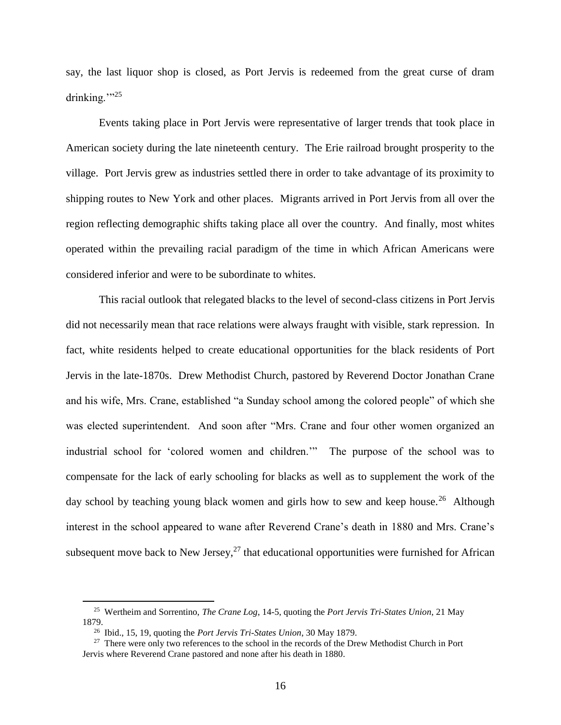say, the last liquor shop is closed, as Port Jervis is redeemed from the great curse of dram drinking." $25$ 

Events taking place in Port Jervis were representative of larger trends that took place in American society during the late nineteenth century. The Erie railroad brought prosperity to the village. Port Jervis grew as industries settled there in order to take advantage of its proximity to shipping routes to New York and other places. Migrants arrived in Port Jervis from all over the region reflecting demographic shifts taking place all over the country. And finally, most whites operated within the prevailing racial paradigm of the time in which African Americans were considered inferior and were to be subordinate to whites.

This racial outlook that relegated blacks to the level of second-class citizens in Port Jervis did not necessarily mean that race relations were always fraught with visible, stark repression. In fact, white residents helped to create educational opportunities for the black residents of Port Jervis in the late-1870s. Drew Methodist Church, pastored by Reverend Doctor Jonathan Crane and his wife, Mrs. Crane, established "a Sunday school among the colored people" of which she was elected superintendent. And soon after "Mrs. Crane and four other women organized an industrial school for 'colored women and children.'" The purpose of the school was to compensate for the lack of early schooling for blacks as well as to supplement the work of the day school by teaching young black women and girls how to sew and keep house.<sup>26</sup> Although interest in the school appeared to wane after Reverend Crane's death in 1880 and Mrs. Crane's subsequent move back to New Jersey, $^{27}$  that educational opportunities were furnished for African

<sup>25</sup> Wertheim and Sorrentino, *The Crane Log*, 14-5, quoting the *Port Jervis Tri-States Union*, 21 May 1879.

<sup>26</sup> Ibid., 15, 19, quoting the *Port Jervis Tri-States Union*, 30 May 1879.

<sup>&</sup>lt;sup>27</sup> There were only two references to the school in the records of the Drew Methodist Church in Port Jervis where Reverend Crane pastored and none after his death in 1880.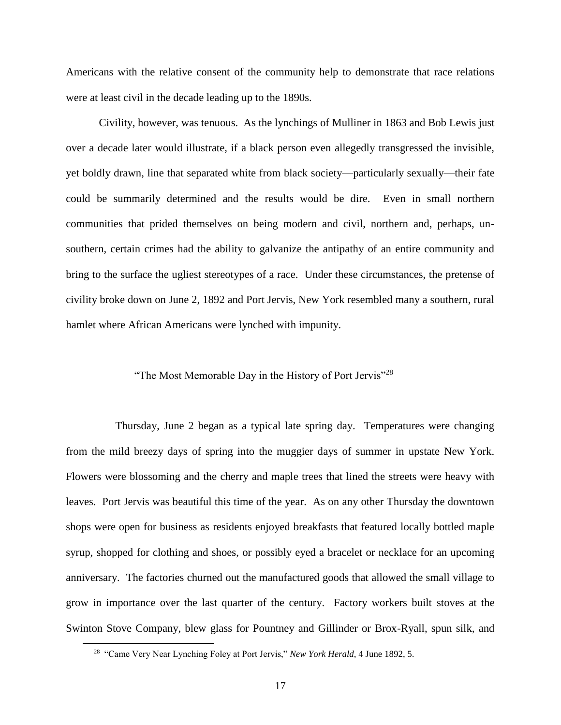Americans with the relative consent of the community help to demonstrate that race relations were at least civil in the decade leading up to the 1890s.

Civility, however, was tenuous. As the lynchings of Mulliner in 1863 and Bob Lewis just over a decade later would illustrate, if a black person even allegedly transgressed the invisible, yet boldly drawn, line that separated white from black society—particularly sexually—their fate could be summarily determined and the results would be dire. Even in small northern communities that prided themselves on being modern and civil, northern and, perhaps, unsouthern, certain crimes had the ability to galvanize the antipathy of an entire community and bring to the surface the ugliest stereotypes of a race. Under these circumstances, the pretense of civility broke down on June 2, 1892 and Port Jervis, New York resembled many a southern, rural hamlet where African Americans were lynched with impunity.

#### "The Most Memorable Day in the History of Port Jervis"<sup>28</sup>

Thursday, June 2 began as a typical late spring day. Temperatures were changing from the mild breezy days of spring into the muggier days of summer in upstate New York. Flowers were blossoming and the cherry and maple trees that lined the streets were heavy with leaves. Port Jervis was beautiful this time of the year. As on any other Thursday the downtown shops were open for business as residents enjoyed breakfasts that featured locally bottled maple syrup, shopped for clothing and shoes, or possibly eyed a bracelet or necklace for an upcoming anniversary. The factories churned out the manufactured goods that allowed the small village to grow in importance over the last quarter of the century. Factory workers built stoves at the Swinton Stove Company, blew glass for Pountney and Gillinder or Brox-Ryall, spun silk, and

<sup>&</sup>lt;sup>28</sup> "Came Very Near Lynching Foley at Port Jervis," *New York Herald*, 4 June 1892, 5.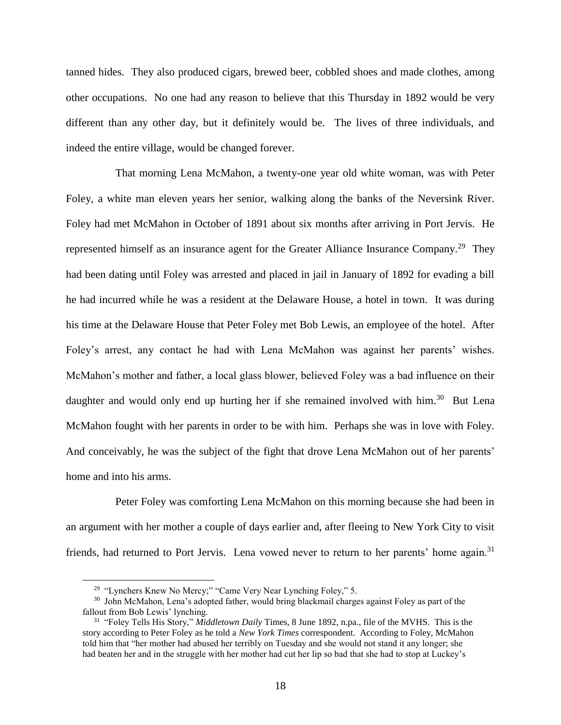tanned hides. They also produced cigars, brewed beer, cobbled shoes and made clothes, among other occupations. No one had any reason to believe that this Thursday in 1892 would be very different than any other day, but it definitely would be. The lives of three individuals, and indeed the entire village, would be changed forever.

That morning Lena McMahon, a twenty-one year old white woman, was with Peter Foley, a white man eleven years her senior, walking along the banks of the Neversink River. Foley had met McMahon in October of 1891 about six months after arriving in Port Jervis. He represented himself as an insurance agent for the Greater Alliance Insurance Company.<sup>29</sup> They had been dating until Foley was arrested and placed in jail in January of 1892 for evading a bill he had incurred while he was a resident at the Delaware House, a hotel in town. It was during his time at the Delaware House that Peter Foley met Bob Lewis, an employee of the hotel. After Foley's arrest, any contact he had with Lena McMahon was against her parents' wishes. McMahon's mother and father, a local glass blower, believed Foley was a bad influence on their daughter and would only end up hurting her if she remained involved with him.<sup>30</sup> But Lena McMahon fought with her parents in order to be with him. Perhaps she was in love with Foley. And conceivably, he was the subject of the fight that drove Lena McMahon out of her parents' home and into his arms.

Peter Foley was comforting Lena McMahon on this morning because she had been in an argument with her mother a couple of days earlier and, after fleeing to New York City to visit friends, had returned to Port Jervis. Lena vowed never to return to her parents' home again.<sup>31</sup>

<sup>&</sup>lt;sup>29</sup> "Lynchers Knew No Mercy;" "Came Very Near Lynching Foley," 5.

<sup>&</sup>lt;sup>30</sup> John McMahon, Lena's adopted father, would bring blackmail charges against Foley as part of the fallout from Bob Lewis' lynching.

<sup>31</sup> "Foley Tells His Story," *Middletown Daily* Times, 8 June 1892, n.pa., file of the MVHS. This is the story according to Peter Foley as he told a *New York Times* correspondent. According to Foley, McMahon told him that "her mother had abused her terribly on Tuesday and she would not stand it any longer; she had beaten her and in the struggle with her mother had cut her lip so bad that she had to stop at Luckey's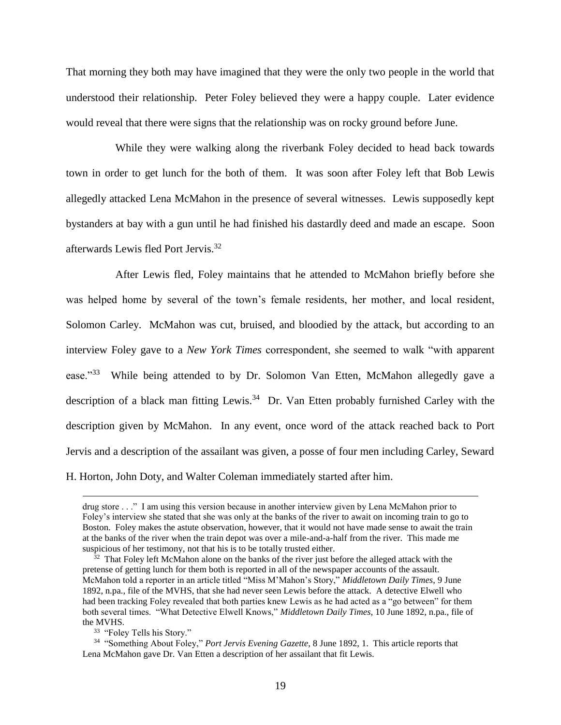That morning they both may have imagined that they were the only two people in the world that understood their relationship. Peter Foley believed they were a happy couple. Later evidence would reveal that there were signs that the relationship was on rocky ground before June.

While they were walking along the riverbank Foley decided to head back towards town in order to get lunch for the both of them. It was soon after Foley left that Bob Lewis allegedly attacked Lena McMahon in the presence of several witnesses. Lewis supposedly kept bystanders at bay with a gun until he had finished his dastardly deed and made an escape. Soon afterwards Lewis fled Port Jervis.<sup>32</sup>

After Lewis fled, Foley maintains that he attended to McMahon briefly before she was helped home by several of the town's female residents, her mother, and local resident, Solomon Carley. McMahon was cut, bruised, and bloodied by the attack, but according to an interview Foley gave to a *New York Times* correspondent, she seemed to walk "with apparent ease."<sup>33</sup> While being attended to by Dr. Solomon Van Etten, McMahon allegedly gave a description of a black man fitting Lewis.<sup>34</sup> Dr. Van Etten probably furnished Carley with the description given by McMahon. In any event, once word of the attack reached back to Port Jervis and a description of the assailant was given, a posse of four men including Carley, Seward H. Horton, John Doty, and Walter Coleman immediately started after him.

drug store . . ." I am using this version because in another interview given by Lena McMahon prior to Foley's interview she stated that she was only at the banks of the river to await on incoming train to go to Boston. Foley makes the astute observation, however, that it would not have made sense to await the train at the banks of the river when the train depot was over a mile-and-a-half from the river. This made me suspicious of her testimony, not that his is to be totally trusted either.

 $32$  That Foley left McMahon alone on the banks of the river just before the alleged attack with the pretense of getting lunch for them both is reported in all of the newspaper accounts of the assault. McMahon told a reporter in an article titled "Miss M'Mahon's Story," *Middletown Daily Times*, 9 June 1892, n.pa., file of the MVHS, that she had never seen Lewis before the attack. A detective Elwell who had been tracking Foley revealed that both parties knew Lewis as he had acted as a "go between" for them both several times. "What Detective Elwell Knows," *Middletown Daily Times*, 10 June 1892, n.pa., file of the MVHS.

<sup>&</sup>lt;sup>33</sup> "Foley Tells his Story."

<sup>34</sup> "Something About Foley," *Port Jervis Evening Gazette*, 8 June 1892, 1. This article reports that Lena McMahon gave Dr. Van Etten a description of her assailant that fit Lewis.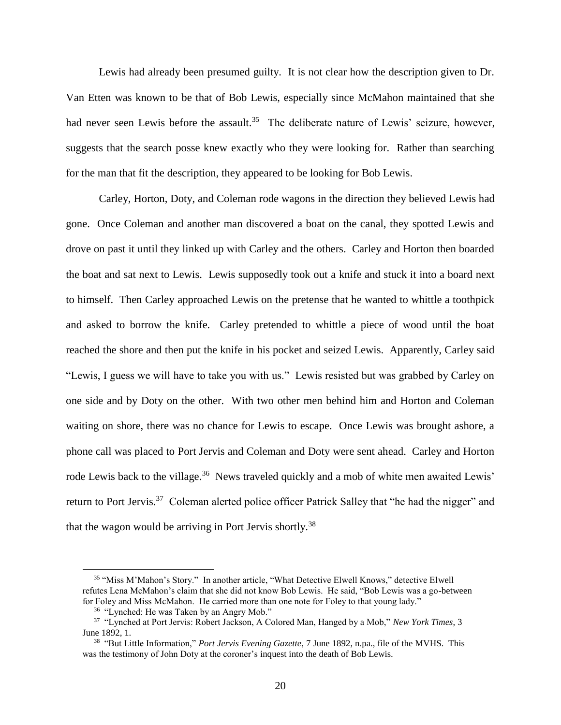Lewis had already been presumed guilty. It is not clear how the description given to Dr. Van Etten was known to be that of Bob Lewis, especially since McMahon maintained that she had never seen Lewis before the assault.<sup>35</sup> The deliberate nature of Lewis' seizure, however, suggests that the search posse knew exactly who they were looking for. Rather than searching for the man that fit the description, they appeared to be looking for Bob Lewis.

Carley, Horton, Doty, and Coleman rode wagons in the direction they believed Lewis had gone. Once Coleman and another man discovered a boat on the canal, they spotted Lewis and drove on past it until they linked up with Carley and the others. Carley and Horton then boarded the boat and sat next to Lewis. Lewis supposedly took out a knife and stuck it into a board next to himself. Then Carley approached Lewis on the pretense that he wanted to whittle a toothpick and asked to borrow the knife. Carley pretended to whittle a piece of wood until the boat reached the shore and then put the knife in his pocket and seized Lewis. Apparently, Carley said "Lewis, I guess we will have to take you with us." Lewis resisted but was grabbed by Carley on one side and by Doty on the other. With two other men behind him and Horton and Coleman waiting on shore, there was no chance for Lewis to escape. Once Lewis was brought ashore, a phone call was placed to Port Jervis and Coleman and Doty were sent ahead. Carley and Horton rode Lewis back to the village.<sup>36</sup> News traveled quickly and a mob of white men awaited Lewis' return to Port Jervis.<sup>37</sup> Coleman alerted police officer Patrick Salley that "he had the nigger" and that the wagon would be arriving in Port Jervis shortly.<sup>38</sup>

<sup>&</sup>lt;sup>35</sup> "Miss M'Mahon's Story." In another article, "What Detective Elwell Knows," detective Elwell refutes Lena McMahon's claim that she did not know Bob Lewis. He said, "Bob Lewis was a go-between for Foley and Miss McMahon. He carried more than one note for Foley to that young lady."

<sup>&</sup>lt;sup>36</sup> "Lynched: He was Taken by an Angry Mob."

<sup>37</sup> "Lynched at Port Jervis: Robert Jackson, A Colored Man, Hanged by a Mob," *New York Times*, 3 June 1892, 1.

<sup>38</sup> "But Little Information," *Port Jervis Evening Gazette*, 7 June 1892, n.pa., file of the MVHS. This was the testimony of John Doty at the coroner's inquest into the death of Bob Lewis.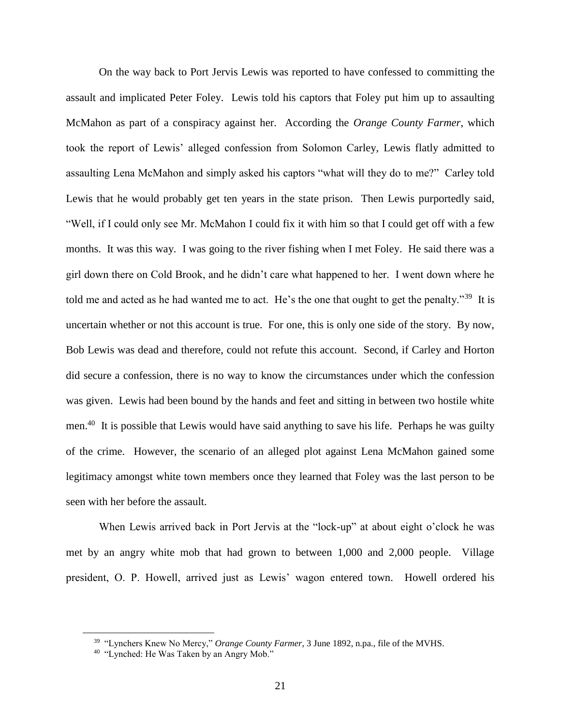On the way back to Port Jervis Lewis was reported to have confessed to committing the assault and implicated Peter Foley. Lewis told his captors that Foley put him up to assaulting McMahon as part of a conspiracy against her. According the *Orange County Farmer*, which took the report of Lewis' alleged confession from Solomon Carley, Lewis flatly admitted to assaulting Lena McMahon and simply asked his captors "what will they do to me?" Carley told Lewis that he would probably get ten years in the state prison. Then Lewis purportedly said, "Well, if I could only see Mr. McMahon I could fix it with him so that I could get off with a few months. It was this way. I was going to the river fishing when I met Foley. He said there was a girl down there on Cold Brook, and he didn't care what happened to her. I went down where he told me and acted as he had wanted me to act. He's the one that ought to get the penalty."<sup>39</sup> It is uncertain whether or not this account is true. For one, this is only one side of the story. By now, Bob Lewis was dead and therefore, could not refute this account. Second, if Carley and Horton did secure a confession, there is no way to know the circumstances under which the confession was given. Lewis had been bound by the hands and feet and sitting in between two hostile white men.<sup>40</sup> It is possible that Lewis would have said anything to save his life. Perhaps he was guilty of the crime. However, the scenario of an alleged plot against Lena McMahon gained some legitimacy amongst white town members once they learned that Foley was the last person to be seen with her before the assault.

When Lewis arrived back in Port Jervis at the "lock-up" at about eight o'clock he was met by an angry white mob that had grown to between 1,000 and 2,000 people. Village president, O. P. Howell, arrived just as Lewis' wagon entered town. Howell ordered his

<sup>39</sup> "Lynchers Knew No Mercy," *Orange County Farmer*, 3 June 1892, n.pa., file of the MVHS.

<sup>&</sup>lt;sup>40</sup> "Lynched: He Was Taken by an Angry Mob."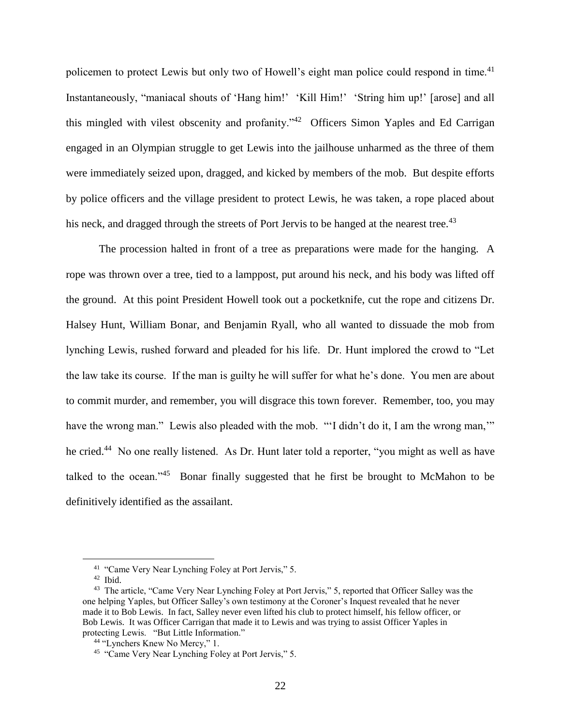policemen to protect Lewis but only two of Howell's eight man police could respond in time.<sup>41</sup> Instantaneously, "maniacal shouts of 'Hang him!' 'Kill Him!' 'String him up!' [arose] and all this mingled with vilest obscenity and profanity."<sup>42</sup> Officers Simon Yaples and Ed Carrigan engaged in an Olympian struggle to get Lewis into the jailhouse unharmed as the three of them were immediately seized upon, dragged, and kicked by members of the mob. But despite efforts by police officers and the village president to protect Lewis, he was taken, a rope placed about his neck, and dragged through the streets of Port Jervis to be hanged at the nearest tree.<sup>43</sup>

The procession halted in front of a tree as preparations were made for the hanging. A rope was thrown over a tree, tied to a lamppost, put around his neck, and his body was lifted off the ground. At this point President Howell took out a pocketknife, cut the rope and citizens Dr. Halsey Hunt, William Bonar, and Benjamin Ryall, who all wanted to dissuade the mob from lynching Lewis, rushed forward and pleaded for his life. Dr. Hunt implored the crowd to "Let the law take its course. If the man is guilty he will suffer for what he's done. You men are about to commit murder, and remember, you will disgrace this town forever. Remember, too, you may have the wrong man." Lewis also pleaded with the mob. ""I didn't do it, I am the wrong man,"" he cried.<sup>44</sup> No one really listened. As Dr. Hunt later told a reporter, "you might as well as have talked to the ocean." $45$  Bonar finally suggested that he first be brought to McMahon to be definitively identified as the assailant.

<sup>&</sup>lt;sup>41</sup> "Came Very Near Lynching Foley at Port Jervis," 5.

<sup>42</sup> Ibid.

<sup>&</sup>lt;sup>43</sup> The article, "Came Very Near Lynching Foley at Port Jervis," 5, reported that Officer Salley was the one helping Yaples, but Officer Salley's own testimony at the Coroner's Inquest revealed that he never made it to Bob Lewis. In fact, Salley never even lifted his club to protect himself, his fellow officer, or Bob Lewis. It was Officer Carrigan that made it to Lewis and was trying to assist Officer Yaples in protecting Lewis. "But Little Information."

 <sup>44</sup> "Lynchers Knew No Mercy," 1.

<sup>&</sup>lt;sup>45</sup> "Came Very Near Lynching Foley at Port Jervis," 5.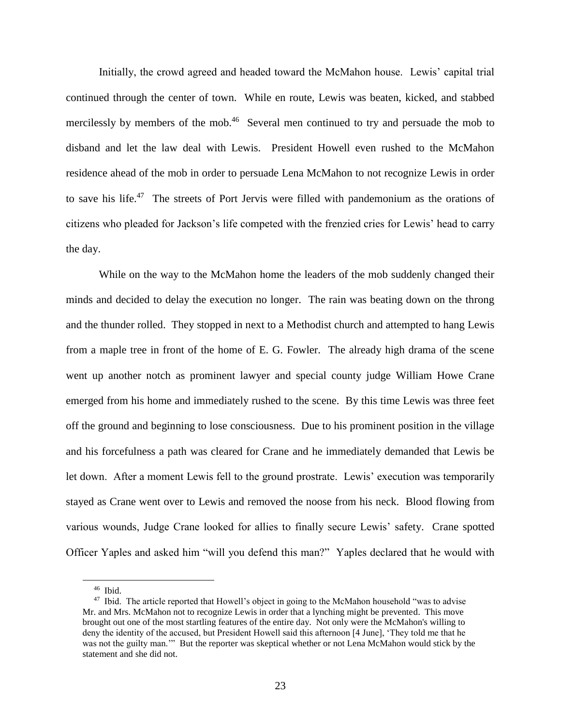Initially, the crowd agreed and headed toward the McMahon house. Lewis' capital trial continued through the center of town. While en route, Lewis was beaten, kicked, and stabbed mercilessly by members of the mob.<sup>46</sup> Several men continued to try and persuade the mob to disband and let the law deal with Lewis. President Howell even rushed to the McMahon residence ahead of the mob in order to persuade Lena McMahon to not recognize Lewis in order to save his life.<sup>47</sup> The streets of Port Jervis were filled with pandemonium as the orations of citizens who pleaded for Jackson's life competed with the frenzied cries for Lewis' head to carry the day.

While on the way to the McMahon home the leaders of the mob suddenly changed their minds and decided to delay the execution no longer. The rain was beating down on the throng and the thunder rolled. They stopped in next to a Methodist church and attempted to hang Lewis from a maple tree in front of the home of E. G. Fowler. The already high drama of the scene went up another notch as prominent lawyer and special county judge William Howe Crane emerged from his home and immediately rushed to the scene. By this time Lewis was three feet off the ground and beginning to lose consciousness. Due to his prominent position in the village and his forcefulness a path was cleared for Crane and he immediately demanded that Lewis be let down. After a moment Lewis fell to the ground prostrate. Lewis' execution was temporarily stayed as Crane went over to Lewis and removed the noose from his neck. Blood flowing from various wounds, Judge Crane looked for allies to finally secure Lewis' safety. Crane spotted Officer Yaples and asked him "will you defend this man?" Yaples declared that he would with

<sup>46</sup> Ibid.

<sup>&</sup>lt;sup>47</sup> Ibid. The article reported that Howell's object in going to the McMahon household "was to advise" Mr. and Mrs. McMahon not to recognize Lewis in order that a lynching might be prevented. This move brought out one of the most startling features of the entire day. Not only were the McMahon's willing to deny the identity of the accused, but President Howell said this afternoon [4 June], 'They told me that he was not the guilty man.'" But the reporter was skeptical whether or not Lena McMahon would stick by the statement and she did not.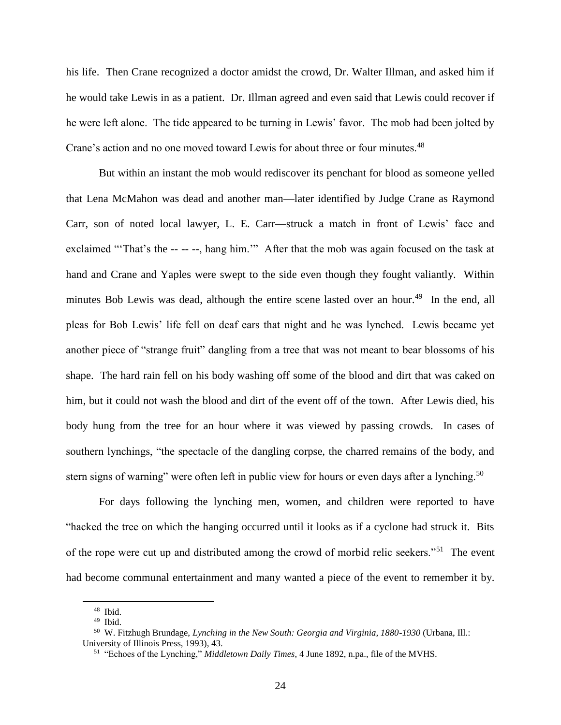his life. Then Crane recognized a doctor amidst the crowd, Dr. Walter Illman, and asked him if he would take Lewis in as a patient. Dr. Illman agreed and even said that Lewis could recover if he were left alone. The tide appeared to be turning in Lewis' favor. The mob had been jolted by Crane's action and no one moved toward Lewis for about three or four minutes.<sup>48</sup>

But within an instant the mob would rediscover its penchant for blood as someone yelled that Lena McMahon was dead and another man—later identified by Judge Crane as Raymond Carr, son of noted local lawyer, L. E. Carr—struck a match in front of Lewis' face and exclaimed "That's the -- -- --, hang him."" After that the mob was again focused on the task at hand and Crane and Yaples were swept to the side even though they fought valiantly. Within minutes Bob Lewis was dead, although the entire scene lasted over an hour.<sup>49</sup> In the end, all pleas for Bob Lewis' life fell on deaf ears that night and he was lynched. Lewis became yet another piece of "strange fruit" dangling from a tree that was not meant to bear blossoms of his shape. The hard rain fell on his body washing off some of the blood and dirt that was caked on him, but it could not wash the blood and dirt of the event off of the town. After Lewis died, his body hung from the tree for an hour where it was viewed by passing crowds. In cases of southern lynchings, "the spectacle of the dangling corpse, the charred remains of the body, and stern signs of warning" were often left in public view for hours or even days after a lynching.<sup>50</sup>

For days following the lynching men, women, and children were reported to have "hacked the tree on which the hanging occurred until it looks as if a cyclone had struck it. Bits of the rope were cut up and distributed among the crowd of morbid relic seekers."<sup>51</sup> The event had become communal entertainment and many wanted a piece of the event to remember it by.

<sup>48</sup> Ibid.

<sup>49</sup> Ibid.

<sup>50</sup> W. Fitzhugh Brundage, *Lynching in the New South: Georgia and Virginia, 1880-1930* (Urbana, Ill.: University of Illinois Press, 1993), 43.

<sup>51</sup> "Echoes of the Lynching," *Middletown Daily Times*, 4 June 1892, n.pa., file of the MVHS.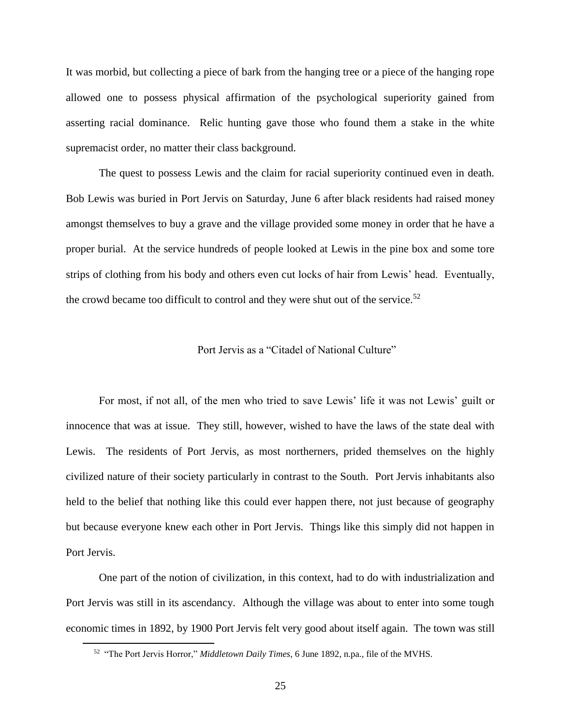It was morbid, but collecting a piece of bark from the hanging tree or a piece of the hanging rope allowed one to possess physical affirmation of the psychological superiority gained from asserting racial dominance. Relic hunting gave those who found them a stake in the white supremacist order, no matter their class background.

The quest to possess Lewis and the claim for racial superiority continued even in death. Bob Lewis was buried in Port Jervis on Saturday, June 6 after black residents had raised money amongst themselves to buy a grave and the village provided some money in order that he have a proper burial. At the service hundreds of people looked at Lewis in the pine box and some tore strips of clothing from his body and others even cut locks of hair from Lewis' head. Eventually, the crowd became too difficult to control and they were shut out of the service.<sup>52</sup>

#### Port Jervis as a "Citadel of National Culture"

For most, if not all, of the men who tried to save Lewis' life it was not Lewis' guilt or innocence that was at issue. They still, however, wished to have the laws of the state deal with Lewis. The residents of Port Jervis, as most northerners, prided themselves on the highly civilized nature of their society particularly in contrast to the South. Port Jervis inhabitants also held to the belief that nothing like this could ever happen there, not just because of geography but because everyone knew each other in Port Jervis. Things like this simply did not happen in Port Jervis.

One part of the notion of civilization, in this context, had to do with industrialization and Port Jervis was still in its ascendancy. Although the village was about to enter into some tough economic times in 1892, by 1900 Port Jervis felt very good about itself again. The town was still

<sup>52</sup> "The Port Jervis Horror," *Middletown Daily Times*, 6 June 1892, n.pa., file of the MVHS.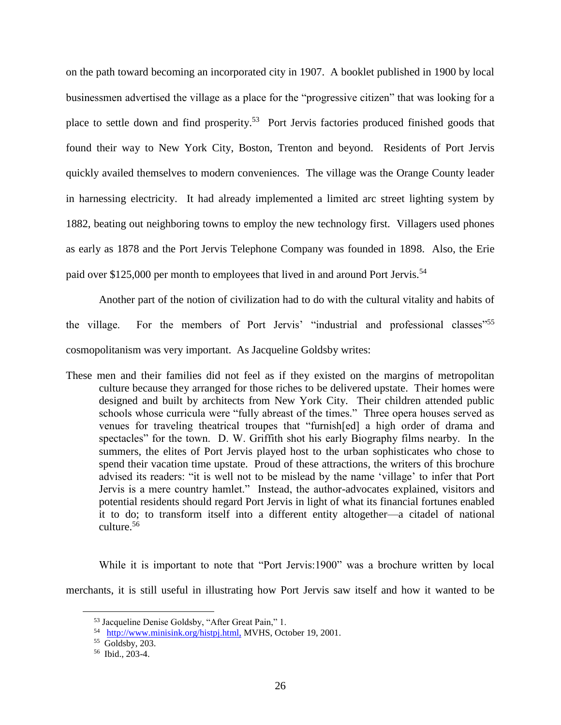on the path toward becoming an incorporated city in 1907. A booklet published in 1900 by local businessmen advertised the village as a place for the "progressive citizen" that was looking for a place to settle down and find prosperity.<sup>53</sup> Port Jervis factories produced finished goods that found their way to New York City, Boston, Trenton and beyond. Residents of Port Jervis quickly availed themselves to modern conveniences. The village was the Orange County leader in harnessing electricity. It had already implemented a limited arc street lighting system by 1882, beating out neighboring towns to employ the new technology first. Villagers used phones as early as 1878 and the Port Jervis Telephone Company was founded in 1898. Also, the Erie paid over \$125,000 per month to employees that lived in and around Port Jervis.<sup>54</sup>

Another part of the notion of civilization had to do with the cultural vitality and habits of the village. For the members of Port Jervis' "industrial and professional classes"<sup>55</sup> cosmopolitanism was very important. As Jacqueline Goldsby writes:

These men and their families did not feel as if they existed on the margins of metropolitan culture because they arranged for those riches to be delivered upstate. Their homes were designed and built by architects from New York City. Their children attended public schools whose curricula were "fully abreast of the times." Three opera houses served as venues for traveling theatrical troupes that "furnish[ed] a high order of drama and spectacles" for the town. D. W. Griffith shot his early Biography films nearby. In the summers, the elites of Port Jervis played host to the urban sophisticates who chose to spend their vacation time upstate. Proud of these attractions, the writers of this brochure advised its readers: "it is well not to be mislead by the name 'village' to infer that Port Jervis is a mere country hamlet." Instead, the author-advocates explained, visitors and potential residents should regard Port Jervis in light of what its financial fortunes enabled it to do; to transform itself into a different entity altogether—a citadel of national culture.<sup>56</sup>

While it is important to note that "Port Jervis:1900" was a brochure written by local merchants, it is still useful in illustrating how Port Jervis saw itself and how it wanted to be

<sup>53</sup> Jacqueline Denise Goldsby, "After Great Pain," 1.

<sup>&</sup>lt;sup>54</sup> http://www.minisink.org/histpj.html, MVHS, October 19, 2001.

<sup>55</sup> Goldsby, 203.

<sup>56</sup> Ibid., 203-4.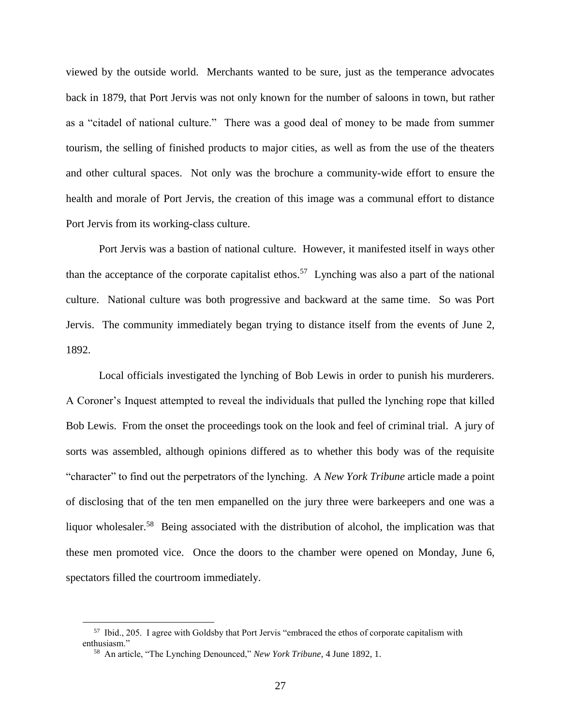viewed by the outside world. Merchants wanted to be sure, just as the temperance advocates back in 1879, that Port Jervis was not only known for the number of saloons in town, but rather as a "citadel of national culture." There was a good deal of money to be made from summer tourism, the selling of finished products to major cities, as well as from the use of the theaters and other cultural spaces. Not only was the brochure a community-wide effort to ensure the health and morale of Port Jervis, the creation of this image was a communal effort to distance Port Jervis from its working-class culture.

Port Jervis was a bastion of national culture. However, it manifested itself in ways other than the acceptance of the corporate capitalist ethos.<sup>57</sup> Lynching was also a part of the national culture. National culture was both progressive and backward at the same time. So was Port Jervis. The community immediately began trying to distance itself from the events of June 2, 1892.

Local officials investigated the lynching of Bob Lewis in order to punish his murderers. A Coroner's Inquest attempted to reveal the individuals that pulled the lynching rope that killed Bob Lewis. From the onset the proceedings took on the look and feel of criminal trial. A jury of sorts was assembled, although opinions differed as to whether this body was of the requisite "character" to find out the perpetrators of the lynching. A *New York Tribune* article made a point of disclosing that of the ten men empanelled on the jury three were barkeepers and one was a liquor wholesaler.<sup>58</sup> Being associated with the distribution of alcohol, the implication was that these men promoted vice. Once the doors to the chamber were opened on Monday, June 6, spectators filled the courtroom immediately.

<sup>&</sup>lt;sup>57</sup> Ibid., 205. I agree with Goldsby that Port Jervis "embraced the ethos of corporate capitalism with enthusiasm."

<sup>58</sup> An article, "The Lynching Denounced," *New York Tribune*, 4 June 1892, 1.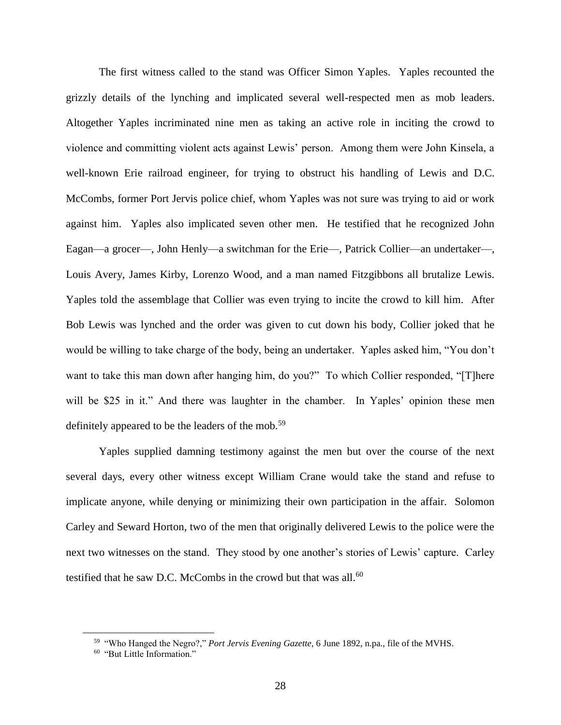The first witness called to the stand was Officer Simon Yaples. Yaples recounted the grizzly details of the lynching and implicated several well-respected men as mob leaders. Altogether Yaples incriminated nine men as taking an active role in inciting the crowd to violence and committing violent acts against Lewis' person. Among them were John Kinsela, a well-known Erie railroad engineer, for trying to obstruct his handling of Lewis and D.C. McCombs, former Port Jervis police chief, whom Yaples was not sure was trying to aid or work against him. Yaples also implicated seven other men. He testified that he recognized John Eagan—a grocer—, John Henly—a switchman for the Erie—, Patrick Collier—an undertaker—, Louis Avery, James Kirby, Lorenzo Wood, and a man named Fitzgibbons all brutalize Lewis. Yaples told the assemblage that Collier was even trying to incite the crowd to kill him. After Bob Lewis was lynched and the order was given to cut down his body, Collier joked that he would be willing to take charge of the body, being an undertaker. Yaples asked him, "You don't want to take this man down after hanging him, do you?" To which Collier responded, "[T]here will be \$25 in it." And there was laughter in the chamber. In Yaples' opinion these men definitely appeared to be the leaders of the mob.<sup>59</sup>

Yaples supplied damning testimony against the men but over the course of the next several days, every other witness except William Crane would take the stand and refuse to implicate anyone, while denying or minimizing their own participation in the affair. Solomon Carley and Seward Horton, two of the men that originally delivered Lewis to the police were the next two witnesses on the stand. They stood by one another's stories of Lewis' capture. Carley testified that he saw D.C. McCombs in the crowd but that was all.<sup>60</sup>

<sup>59</sup> "Who Hanged the Negro?," *Port Jervis Evening Gazette*, 6 June 1892, n.pa., file of the MVHS.

<sup>60</sup> "But Little Information."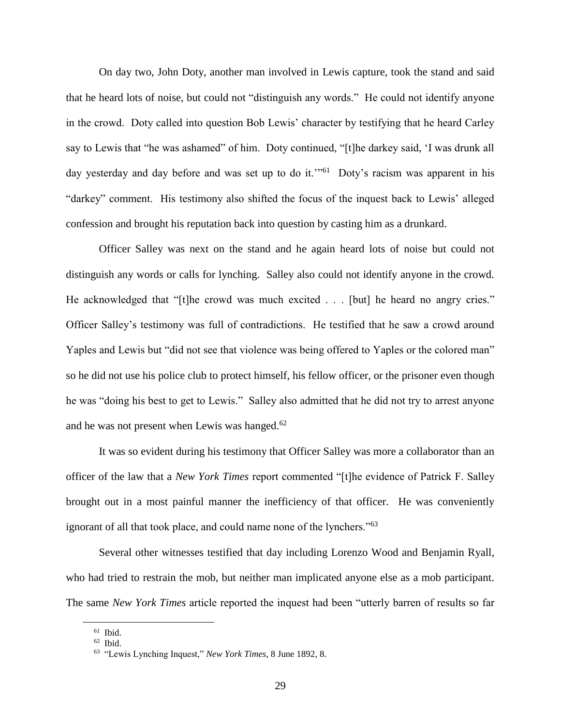On day two, John Doty, another man involved in Lewis capture, took the stand and said that he heard lots of noise, but could not "distinguish any words." He could not identify anyone in the crowd. Doty called into question Bob Lewis' character by testifying that he heard Carley say to Lewis that "he was ashamed" of him. Doty continued, "[t]he darkey said, 'I was drunk all day yesterday and day before and was set up to do it."<sup>61</sup> Doty's racism was apparent in his "darkey" comment. His testimony also shifted the focus of the inquest back to Lewis' alleged confession and brought his reputation back into question by casting him as a drunkard.

Officer Salley was next on the stand and he again heard lots of noise but could not distinguish any words or calls for lynching. Salley also could not identify anyone in the crowd. He acknowledged that "[t]he crowd was much excited . . . [but] he heard no angry cries." Officer Salley's testimony was full of contradictions. He testified that he saw a crowd around Yaples and Lewis but "did not see that violence was being offered to Yaples or the colored man" so he did not use his police club to protect himself, his fellow officer, or the prisoner even though he was "doing his best to get to Lewis." Salley also admitted that he did not try to arrest anyone and he was not present when Lewis was hanged. $62$ 

It was so evident during his testimony that Officer Salley was more a collaborator than an officer of the law that a *New York Times* report commented "[t]he evidence of Patrick F. Salley brought out in a most painful manner the inefficiency of that officer. He was conveniently ignorant of all that took place, and could name none of the lynchers."<sup>63</sup>

Several other witnesses testified that day including Lorenzo Wood and Benjamin Ryall, who had tried to restrain the mob, but neither man implicated anyone else as a mob participant. The same *New York Times* article reported the inquest had been "utterly barren of results so far

<sup>61</sup> Ibid.

<sup>62</sup> Ibid.

<sup>63</sup> "Lewis Lynching Inquest," *New York Times*, 8 June 1892, 8.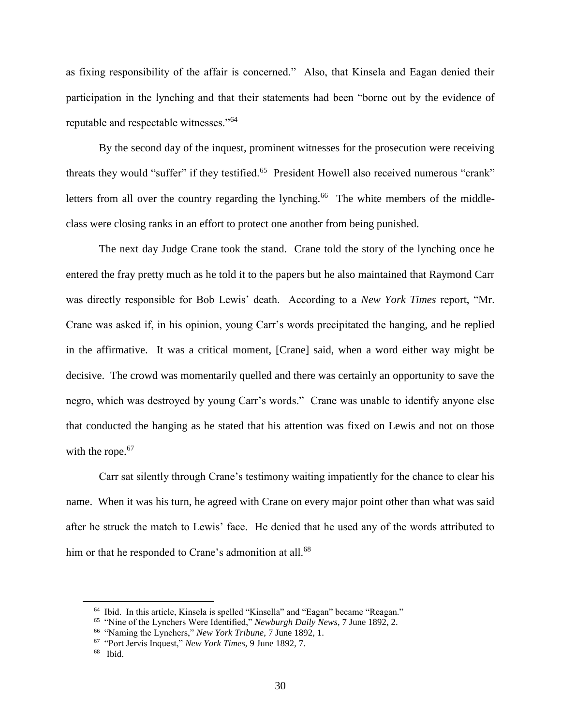as fixing responsibility of the affair is concerned." Also, that Kinsela and Eagan denied their participation in the lynching and that their statements had been "borne out by the evidence of reputable and respectable witnesses."<sup>64</sup>

By the second day of the inquest, prominent witnesses for the prosecution were receiving threats they would "suffer" if they testified.<sup>65</sup> President Howell also received numerous "crank" letters from all over the country regarding the lynching.<sup>66</sup> The white members of the middleclass were closing ranks in an effort to protect one another from being punished.

The next day Judge Crane took the stand. Crane told the story of the lynching once he entered the fray pretty much as he told it to the papers but he also maintained that Raymond Carr was directly responsible for Bob Lewis' death. According to a *New York Times* report, "Mr. Crane was asked if, in his opinion, young Carr's words precipitated the hanging, and he replied in the affirmative. It was a critical moment, [Crane] said, when a word either way might be decisive. The crowd was momentarily quelled and there was certainly an opportunity to save the negro, which was destroyed by young Carr's words." Crane was unable to identify anyone else that conducted the hanging as he stated that his attention was fixed on Lewis and not on those with the rope.<sup>67</sup>

Carr sat silently through Crane's testimony waiting impatiently for the chance to clear his name. When it was his turn, he agreed with Crane on every major point other than what was said after he struck the match to Lewis' face. He denied that he used any of the words attributed to him or that he responded to Crane's admonition at all.<sup>68</sup>

<sup>64</sup> Ibid. In this article, Kinsela is spelled "Kinsella" and "Eagan" became "Reagan."

<sup>65</sup> "Nine of the Lynchers Were Identified," *Newburgh Daily News*, 7 June 1892, 2.

<sup>66</sup> "Naming the Lynchers," *New York Tribune*, 7 June 1892, 1.

<sup>67</sup> "Port Jervis Inquest," *New York Times*, 9 June 1892, 7.

<sup>68</sup> Ibid.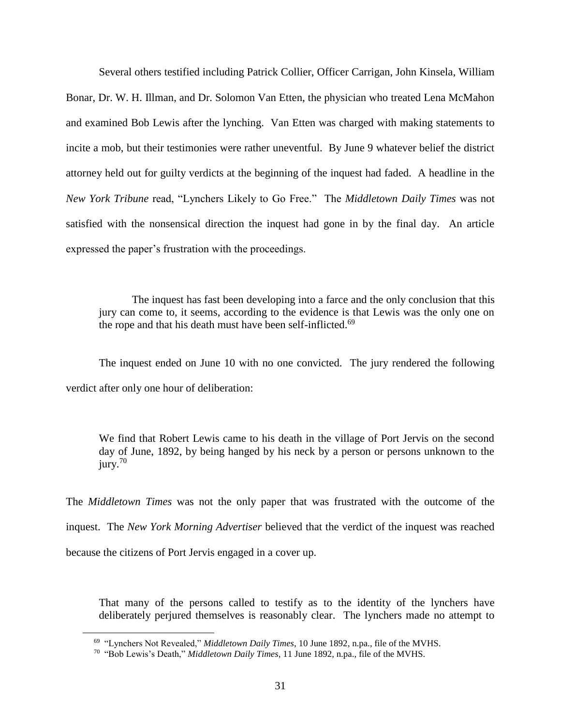Several others testified including Patrick Collier, Officer Carrigan, John Kinsela, William Bonar, Dr. W. H. Illman, and Dr. Solomon Van Etten, the physician who treated Lena McMahon and examined Bob Lewis after the lynching. Van Etten was charged with making statements to incite a mob, but their testimonies were rather uneventful. By June 9 whatever belief the district attorney held out for guilty verdicts at the beginning of the inquest had faded. A headline in the *New York Tribune* read, "Lynchers Likely to Go Free." The *Middletown Daily Times* was not satisfied with the nonsensical direction the inquest had gone in by the final day. An article expressed the paper's frustration with the proceedings.

The inquest has fast been developing into a farce and the only conclusion that this jury can come to, it seems, according to the evidence is that Lewis was the only one on the rope and that his death must have been self-inflicted.<sup>69</sup>

The inquest ended on June 10 with no one convicted. The jury rendered the following verdict after only one hour of deliberation:

We find that Robert Lewis came to his death in the village of Port Jervis on the second day of June, 1892, by being hanged by his neck by a person or persons unknown to the jury.<sup>70</sup>

The *Middletown Times* was not the only paper that was frustrated with the outcome of the inquest. The *New York Morning Advertiser* believed that the verdict of the inquest was reached because the citizens of Port Jervis engaged in a cover up.

That many of the persons called to testify as to the identity of the lynchers have deliberately perjured themselves is reasonably clear. The lynchers made no attempt to

<sup>69</sup> "Lynchers Not Revealed," *Middletown Daily Times*, 10 June 1892, n.pa., file of the MVHS.

<sup>70</sup> "Bob Lewis's Death," *Middletown Daily Times*, 11 June 1892, n.pa., file of the MVHS.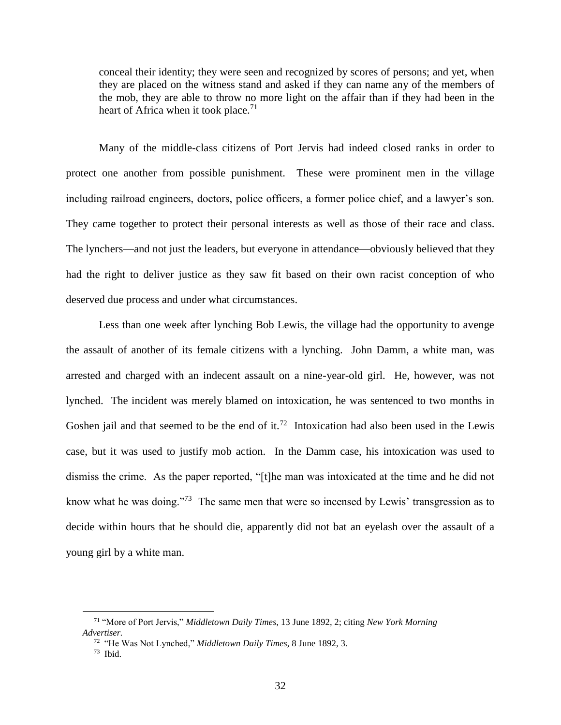conceal their identity; they were seen and recognized by scores of persons; and yet, when they are placed on the witness stand and asked if they can name any of the members of the mob, they are able to throw no more light on the affair than if they had been in the heart of Africa when it took place.<sup>71</sup>

Many of the middle-class citizens of Port Jervis had indeed closed ranks in order to protect one another from possible punishment. These were prominent men in the village including railroad engineers, doctors, police officers, a former police chief, and a lawyer's son. They came together to protect their personal interests as well as those of their race and class. The lynchers—and not just the leaders, but everyone in attendance—obviously believed that they had the right to deliver justice as they saw fit based on their own racist conception of who deserved due process and under what circumstances.

Less than one week after lynching Bob Lewis, the village had the opportunity to avenge the assault of another of its female citizens with a lynching. John Damm, a white man, was arrested and charged with an indecent assault on a nine-year-old girl. He, however, was not lynched. The incident was merely blamed on intoxication, he was sentenced to two months in Goshen jail and that seemed to be the end of it.<sup>72</sup> Intoxication had also been used in the Lewis case, but it was used to justify mob action. In the Damm case, his intoxication was used to dismiss the crime. As the paper reported, "[t]he man was intoxicated at the time and he did not know what he was doing."<sup>73</sup> The same men that were so incensed by Lewis' transgression as to decide within hours that he should die, apparently did not bat an eyelash over the assault of a young girl by a white man.

<sup>71</sup> "More of Port Jervis," *Middletown Daily Times*, 13 June 1892, 2; citing *New York Morning Advertiser.*

<sup>72</sup> "He Was Not Lynched," *Middletown Daily Times*, 8 June 1892, 3.

 $73$  Ibid.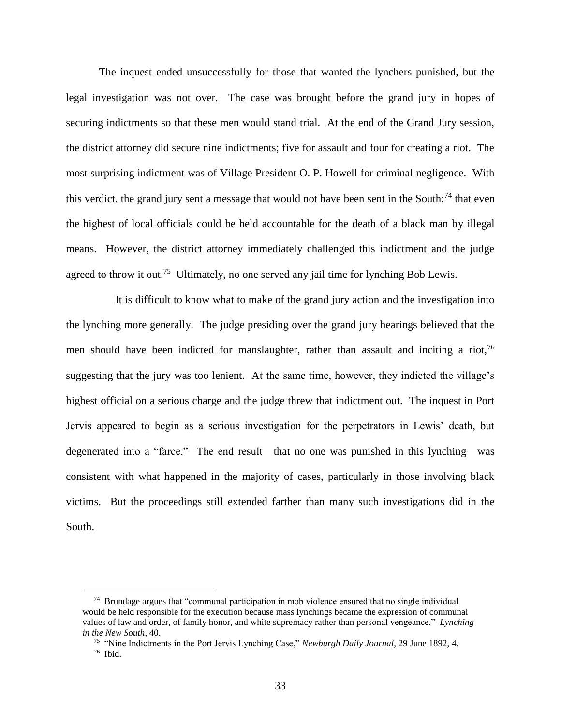The inquest ended unsuccessfully for those that wanted the lynchers punished, but the legal investigation was not over. The case was brought before the grand jury in hopes of securing indictments so that these men would stand trial. At the end of the Grand Jury session, the district attorney did secure nine indictments; five for assault and four for creating a riot. The most surprising indictment was of Village President O. P. Howell for criminal negligence. With this verdict, the grand jury sent a message that would not have been sent in the South;<sup>74</sup> that even the highest of local officials could be held accountable for the death of a black man by illegal means. However, the district attorney immediately challenged this indictment and the judge agreed to throw it out.<sup>75</sup> Ultimately, no one served any jail time for lynching Bob Lewis.

It is difficult to know what to make of the grand jury action and the investigation into the lynching more generally. The judge presiding over the grand jury hearings believed that the men should have been indicted for manslaughter, rather than assault and inciting a riot,  $^{76}$ suggesting that the jury was too lenient. At the same time, however, they indicted the village's highest official on a serious charge and the judge threw that indictment out. The inquest in Port Jervis appeared to begin as a serious investigation for the perpetrators in Lewis' death, but degenerated into a "farce." The end result—that no one was punished in this lynching—was consistent with what happened in the majority of cases, particularly in those involving black victims. But the proceedings still extended farther than many such investigations did in the South.

<sup>&</sup>lt;sup>74</sup> Brundage argues that "communal participation in mob violence ensured that no single individual would be held responsible for the execution because mass lynchings became the expression of communal values of law and order, of family honor, and white supremacy rather than personal vengeance." *Lynching in the New South*, 40.

<sup>75</sup> "Nine Indictments in the Port Jervis Lynching Case," *Newburgh Daily Journal*, 29 June 1892, 4. 76 Ibid.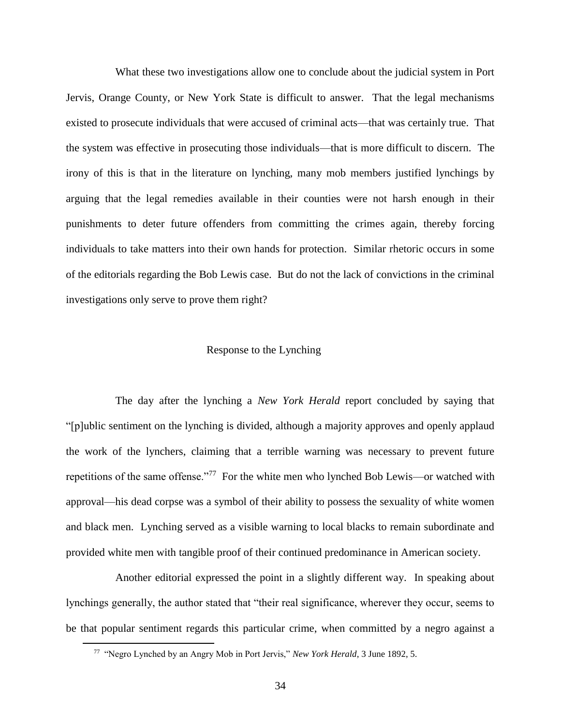What these two investigations allow one to conclude about the judicial system in Port Jervis, Orange County, or New York State is difficult to answer. That the legal mechanisms existed to prosecute individuals that were accused of criminal acts—that was certainly true. That the system was effective in prosecuting those individuals—that is more difficult to discern. The irony of this is that in the literature on lynching, many mob members justified lynchings by arguing that the legal remedies available in their counties were not harsh enough in their punishments to deter future offenders from committing the crimes again, thereby forcing individuals to take matters into their own hands for protection. Similar rhetoric occurs in some of the editorials regarding the Bob Lewis case. But do not the lack of convictions in the criminal investigations only serve to prove them right?

#### Response to the Lynching

The day after the lynching a *New York Herald* report concluded by saying that "[p]ublic sentiment on the lynching is divided, although a majority approves and openly applaud the work of the lynchers, claiming that a terrible warning was necessary to prevent future repetitions of the same offense."<sup>77</sup> For the white men who lynched Bob Lewis—or watched with approval—his dead corpse was a symbol of their ability to possess the sexuality of white women and black men. Lynching served as a visible warning to local blacks to remain subordinate and provided white men with tangible proof of their continued predominance in American society.

Another editorial expressed the point in a slightly different way. In speaking about lynchings generally, the author stated that "their real significance, wherever they occur, seems to be that popular sentiment regards this particular crime, when committed by a negro against a

<sup>&</sup>lt;sup>77</sup> "Negro Lynched by an Angry Mob in Port Jervis," *New York Herald*, 3 June 1892, 5.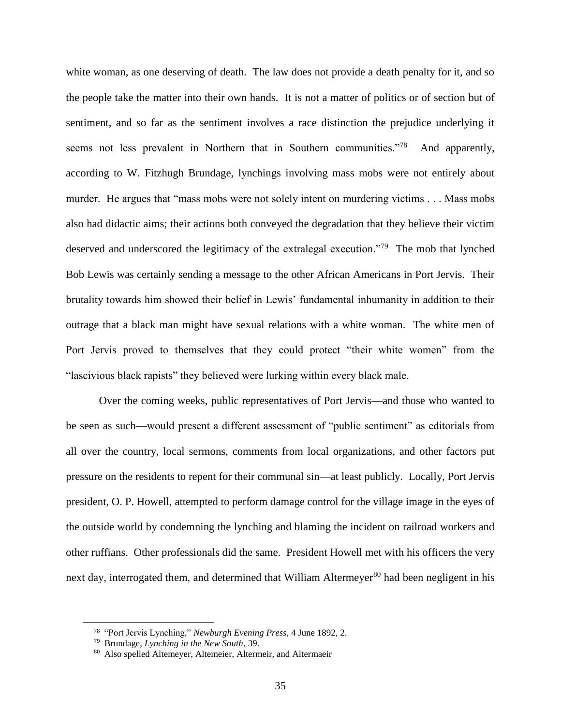white woman, as one deserving of death. The law does not provide a death penalty for it, and so the people take the matter into their own hands. It is not a matter of politics or of section but of sentiment, and so far as the sentiment involves a race distinction the prejudice underlying it seems not less prevalent in Northern that in Southern communities.<sup>778</sup> And apparently, according to W. Fitzhugh Brundage, lynchings involving mass mobs were not entirely about murder. He argues that "mass mobs were not solely intent on murdering victims . . . Mass mobs also had didactic aims; their actions both conveyed the degradation that they believe their victim deserved and underscored the legitimacy of the extralegal execution."<sup>79</sup> The mob that lynched Bob Lewis was certainly sending a message to the other African Americans in Port Jervis. Their brutality towards him showed their belief in Lewis' fundamental inhumanity in addition to their outrage that a black man might have sexual relations with a white woman. The white men of Port Jervis proved to themselves that they could protect "their white women" from the "lascivious black rapists" they believed were lurking within every black male.

Over the coming weeks, public representatives of Port Jervis—and those who wanted to be seen as such—would present a different assessment of "public sentiment" as editorials from all over the country, local sermons, comments from local organizations, and other factors put pressure on the residents to repent for their communal sin—at least publicly. Locally, Port Jervis president, O. P. Howell, attempted to perform damage control for the village image in the eyes of the outside world by condemning the lynching and blaming the incident on railroad workers and other ruffians. Other professionals did the same. President Howell met with his officers the very next day, interrogated them, and determined that William Altermeyer<sup>80</sup> had been negligent in his

<sup>78</sup> "Port Jervis Lynching," *Newburgh Evening Press*, 4 June 1892, 2.

<sup>79</sup> Brundage, *Lynching in the New South*, 39.

<sup>80</sup> Also spelled Altemeyer, Altemeier, Altermeir, and Altermaeir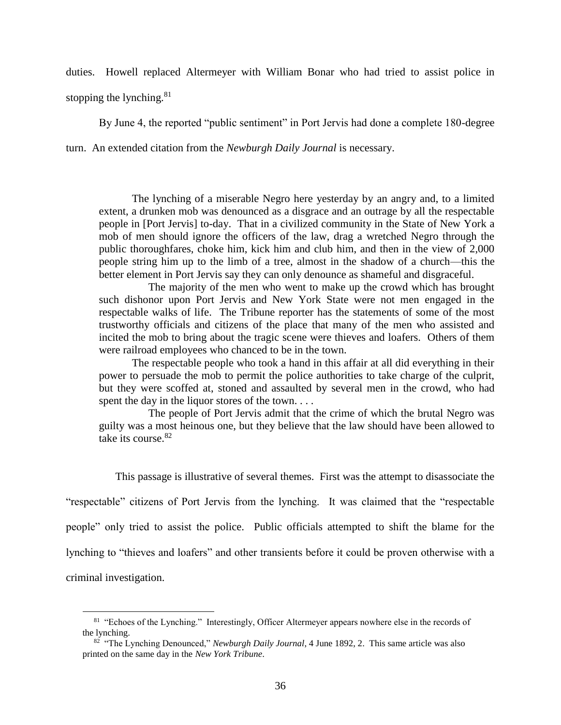duties. Howell replaced Altermeyer with William Bonar who had tried to assist police in

stopping the lynching. $81$ 

By June 4, the reported "public sentiment" in Port Jervis had done a complete 180-degree

turn. An extended citation from the *Newburgh Daily Journal* is necessary.

The lynching of a miserable Negro here yesterday by an angry and, to a limited extent, a drunken mob was denounced as a disgrace and an outrage by all the respectable people in [Port Jervis] to-day. That in a civilized community in the State of New York a mob of men should ignore the officers of the law, drag a wretched Negro through the public thoroughfares, choke him, kick him and club him, and then in the view of 2,000 people string him up to the limb of a tree, almost in the shadow of a church—this the better element in Port Jervis say they can only denounce as shameful and disgraceful.

The majority of the men who went to make up the crowd which has brought such dishonor upon Port Jervis and New York State were not men engaged in the respectable walks of life. The Tribune reporter has the statements of some of the most trustworthy officials and citizens of the place that many of the men who assisted and incited the mob to bring about the tragic scene were thieves and loafers. Others of them were railroad employees who chanced to be in the town.

The respectable people who took a hand in this affair at all did everything in their power to persuade the mob to permit the police authorities to take charge of the culprit, but they were scoffed at, stoned and assaulted by several men in the crowd, who had spent the day in the liquor stores of the town....

The people of Port Jervis admit that the crime of which the brutal Negro was guilty was a most heinous one, but they believe that the law should have been allowed to take its course.<sup>82</sup>

This passage is illustrative of several themes. First was the attempt to disassociate the

"respectable" citizens of Port Jervis from the lynching. It was claimed that the "respectable

people" only tried to assist the police. Public officials attempted to shift the blame for the

lynching to "thieves and loafers" and other transients before it could be proven otherwise with a

criminal investigation.

<sup>&</sup>lt;sup>81</sup> "Echoes of the Lynching." Interestingly, Officer Altermeyer appears nowhere else in the records of the lynching.

<sup>82</sup> "The Lynching Denounced," *Newburgh Daily Journal*, 4 June 1892, 2. This same article was also printed on the same day in the *New York Tribune*.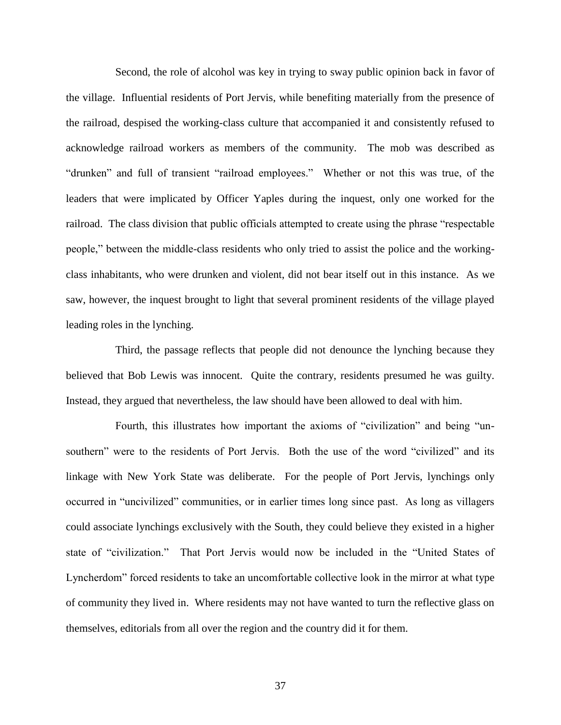Second, the role of alcohol was key in trying to sway public opinion back in favor of the village. Influential residents of Port Jervis, while benefiting materially from the presence of the railroad, despised the working-class culture that accompanied it and consistently refused to acknowledge railroad workers as members of the community. The mob was described as "drunken" and full of transient "railroad employees." Whether or not this was true, of the leaders that were implicated by Officer Yaples during the inquest, only one worked for the railroad. The class division that public officials attempted to create using the phrase "respectable people," between the middle-class residents who only tried to assist the police and the workingclass inhabitants, who were drunken and violent, did not bear itself out in this instance. As we saw, however, the inquest brought to light that several prominent residents of the village played leading roles in the lynching.

Third, the passage reflects that people did not denounce the lynching because they believed that Bob Lewis was innocent. Quite the contrary, residents presumed he was guilty. Instead, they argued that nevertheless, the law should have been allowed to deal with him.

Fourth, this illustrates how important the axioms of "civilization" and being "unsouthern" were to the residents of Port Jervis. Both the use of the word "civilized" and its linkage with New York State was deliberate. For the people of Port Jervis, lynchings only occurred in "uncivilized" communities, or in earlier times long since past. As long as villagers could associate lynchings exclusively with the South, they could believe they existed in a higher state of "civilization." That Port Jervis would now be included in the "United States of Lyncherdom" forced residents to take an uncomfortable collective look in the mirror at what type of community they lived in. Where residents may not have wanted to turn the reflective glass on themselves, editorials from all over the region and the country did it for them.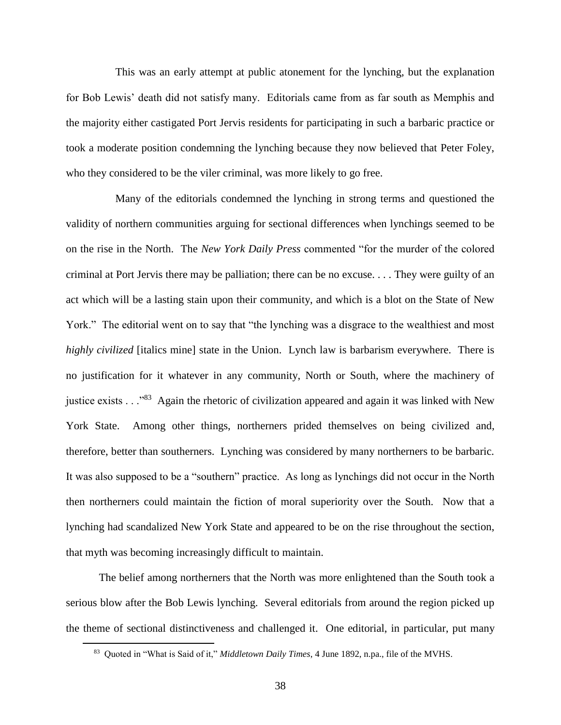This was an early attempt at public atonement for the lynching, but the explanation for Bob Lewis' death did not satisfy many. Editorials came from as far south as Memphis and the majority either castigated Port Jervis residents for participating in such a barbaric practice or took a moderate position condemning the lynching because they now believed that Peter Foley, who they considered to be the viler criminal, was more likely to go free.

Many of the editorials condemned the lynching in strong terms and questioned the validity of northern communities arguing for sectional differences when lynchings seemed to be on the rise in the North. The *New York Daily Press* commented "for the murder of the colored criminal at Port Jervis there may be palliation; there can be no excuse. . . . They were guilty of an act which will be a lasting stain upon their community, and which is a blot on the State of New York." The editorial went on to say that "the lynching was a disgrace to the wealthiest and most *highly civilized* [italics mine] state in the Union. Lynch law is barbarism everywhere. There is no justification for it whatever in any community, North or South, where the machinery of justice exists . . . "83 Again the rhetoric of civilization appeared and again it was linked with New York State. Among other things, northerners prided themselves on being civilized and, therefore, better than southerners. Lynching was considered by many northerners to be barbaric. It was also supposed to be a "southern" practice. As long as lynchings did not occur in the North then northerners could maintain the fiction of moral superiority over the South. Now that a lynching had scandalized New York State and appeared to be on the rise throughout the section, that myth was becoming increasingly difficult to maintain.

The belief among northerners that the North was more enlightened than the South took a serious blow after the Bob Lewis lynching. Several editorials from around the region picked up the theme of sectional distinctiveness and challenged it. One editorial, in particular, put many

<sup>83</sup> Quoted in "What is Said of it," *Middletown Daily Times*, 4 June 1892, n.pa., file of the MVHS.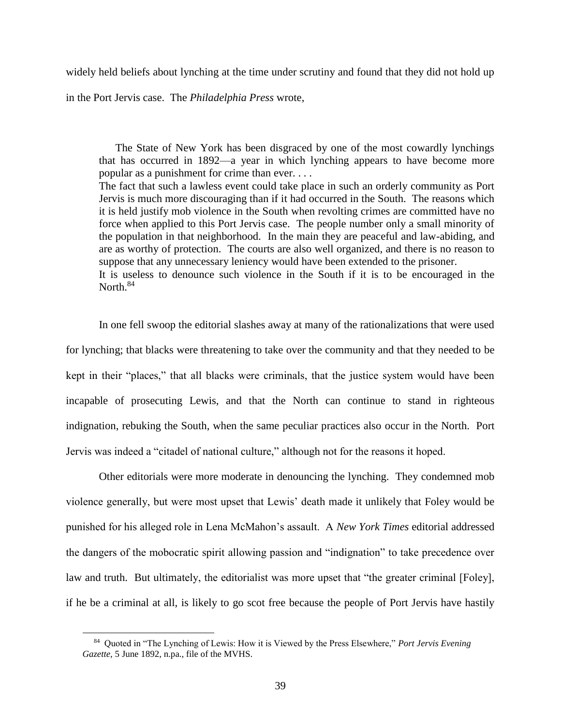widely held beliefs about lynching at the time under scrutiny and found that they did not hold up

in the Port Jervis case. The *Philadelphia Press* wrote,

The State of New York has been disgraced by one of the most cowardly lynchings that has occurred in 1892—a year in which lynching appears to have become more popular as a punishment for crime than ever. . . .

The fact that such a lawless event could take place in such an orderly community as Port Jervis is much more discouraging than if it had occurred in the South. The reasons which it is held justify mob violence in the South when revolting crimes are committed have no force when applied to this Port Jervis case. The people number only a small minority of the population in that neighborhood. In the main they are peaceful and law-abiding, and are as worthy of protection. The courts are also well organized, and there is no reason to suppose that any unnecessary leniency would have been extended to the prisoner. It is useless to denounce such violence in the South if it is to be encouraged in the North. $84$ 

In one fell swoop the editorial slashes away at many of the rationalizations that were used for lynching; that blacks were threatening to take over the community and that they needed to be kept in their "places," that all blacks were criminals, that the justice system would have been incapable of prosecuting Lewis, and that the North can continue to stand in righteous indignation, rebuking the South, when the same peculiar practices also occur in the North. Port Jervis was indeed a "citadel of national culture," although not for the reasons it hoped.

Other editorials were more moderate in denouncing the lynching. They condemned mob violence generally, but were most upset that Lewis' death made it unlikely that Foley would be punished for his alleged role in Lena McMahon's assault. A *New York Times* editorial addressed the dangers of the mobocratic spirit allowing passion and "indignation" to take precedence over law and truth. But ultimately, the editorialist was more upset that "the greater criminal [Foley], if he be a criminal at all, is likely to go scot free because the people of Port Jervis have hastily

<sup>84</sup> Quoted in "The Lynching of Lewis: How it is Viewed by the Press Elsewhere," *Port Jervis Evening Gazette*, 5 June 1892, n.pa., file of the MVHS.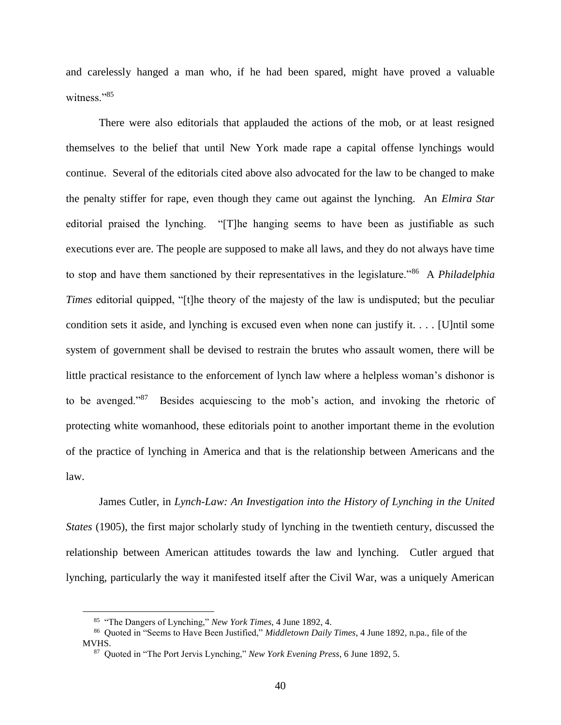and carelessly hanged a man who, if he had been spared, might have proved a valuable witness<sup>"85</sup>

There were also editorials that applauded the actions of the mob, or at least resigned themselves to the belief that until New York made rape a capital offense lynchings would continue. Several of the editorials cited above also advocated for the law to be changed to make the penalty stiffer for rape, even though they came out against the lynching. An *Elmira Star* editorial praised the lynching. "[T]he hanging seems to have been as justifiable as such executions ever are. The people are supposed to make all laws, and they do not always have time to stop and have them sanctioned by their representatives in the legislature."<sup>86</sup> A *Philadelphia Times* editorial quipped, "[t]he theory of the majesty of the law is undisputed; but the peculiar condition sets it aside, and lynching is excused even when none can justify it. . . . [U]ntil some system of government shall be devised to restrain the brutes who assault women, there will be little practical resistance to the enforcement of lynch law where a helpless woman's dishonor is to be avenged."<sup>87</sup> Besides acquiescing to the mob's action, and invoking the rhetoric of protecting white womanhood, these editorials point to another important theme in the evolution of the practice of lynching in America and that is the relationship between Americans and the law.

James Cutler, in *Lynch-Law: An Investigation into the History of Lynching in the United States* (1905), the first major scholarly study of lynching in the twentieth century, discussed the relationship between American attitudes towards the law and lynching. Cutler argued that lynching, particularly the way it manifested itself after the Civil War, was a uniquely American

<sup>85</sup> "The Dangers of Lynching," *New York Times*, 4 June 1892, 4.

<sup>86</sup> Quoted in "Seems to Have Been Justified," *Middletown Daily Times*, 4 June 1892, n.pa., file of the MVHS.

<sup>87</sup> Quoted in "The Port Jervis Lynching," *New York Evening Press*, 6 June 1892, 5.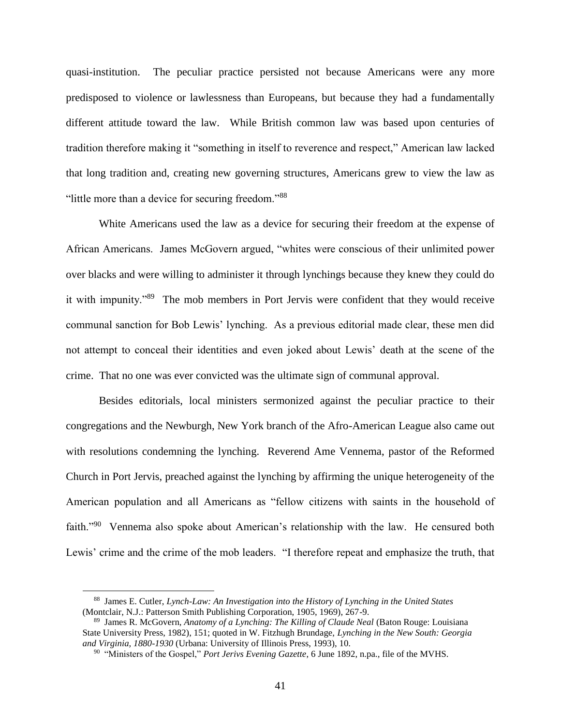quasi-institution. The peculiar practice persisted not because Americans were any more predisposed to violence or lawlessness than Europeans, but because they had a fundamentally different attitude toward the law. While British common law was based upon centuries of tradition therefore making it "something in itself to reverence and respect," American law lacked that long tradition and, creating new governing structures, Americans grew to view the law as "little more than a device for securing freedom."88

White Americans used the law as a device for securing their freedom at the expense of African Americans. James McGovern argued, "whites were conscious of their unlimited power over blacks and were willing to administer it through lynchings because they knew they could do it with impunity."<sup>89</sup> The mob members in Port Jervis were confident that they would receive communal sanction for Bob Lewis' lynching. As a previous editorial made clear, these men did not attempt to conceal their identities and even joked about Lewis' death at the scene of the crime. That no one was ever convicted was the ultimate sign of communal approval.

Besides editorials, local ministers sermonized against the peculiar practice to their congregations and the Newburgh, New York branch of the Afro-American League also came out with resolutions condemning the lynching. Reverend Ame Vennema, pastor of the Reformed Church in Port Jervis, preached against the lynching by affirming the unique heterogeneity of the American population and all Americans as "fellow citizens with saints in the household of faith."<sup>90</sup> Vennema also spoke about American's relationship with the law. He censured both Lewis' crime and the crime of the mob leaders. "I therefore repeat and emphasize the truth, that

<sup>88</sup> James E. Cutler, *Lynch-Law: An Investigation into the History of Lynching in the United States* (Montclair, N.J.: Patterson Smith Publishing Corporation, 1905, 1969), 267-9.

<sup>89</sup> James R. McGovern, *Anatomy of a Lynching: The Killing of Claude Neal* (Baton Rouge: Louisiana State University Press, 1982), 151; quoted in W. Fitzhugh Brundage, *Lynching in the New South: Georgia and Virginia, 1880-1930* (Urbana: University of Illinois Press, 1993), 10.

<sup>90</sup> "Ministers of the Gospel," *Port Jerivs Evening Gazette*, 6 June 1892, n.pa., file of the MVHS.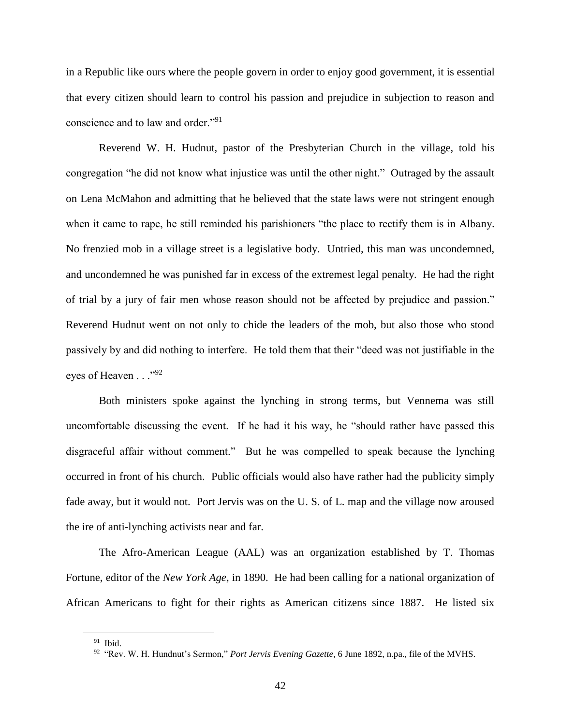in a Republic like ours where the people govern in order to enjoy good government, it is essential that every citizen should learn to control his passion and prejudice in subjection to reason and conscience and to law and order."<sup>91</sup>

Reverend W. H. Hudnut, pastor of the Presbyterian Church in the village, told his congregation "he did not know what injustice was until the other night." Outraged by the assault on Lena McMahon and admitting that he believed that the state laws were not stringent enough when it came to rape, he still reminded his parishioners "the place to rectify them is in Albany. No frenzied mob in a village street is a legislative body. Untried, this man was uncondemned, and uncondemned he was punished far in excess of the extremest legal penalty. He had the right of trial by a jury of fair men whose reason should not be affected by prejudice and passion." Reverend Hudnut went on not only to chide the leaders of the mob, but also those who stood passively by and did nothing to interfere. He told them that their "deed was not justifiable in the eyes of Heaven . . . "92"

Both ministers spoke against the lynching in strong terms, but Vennema was still uncomfortable discussing the event. If he had it his way, he "should rather have passed this disgraceful affair without comment." But he was compelled to speak because the lynching occurred in front of his church. Public officials would also have rather had the publicity simply fade away, but it would not. Port Jervis was on the U.S. of L. map and the village now aroused the ire of anti-lynching activists near and far.

The Afro-American League (AAL) was an organization established by T. Thomas Fortune, editor of the *New York Age*, in 1890. He had been calling for a national organization of African Americans to fight for their rights as American citizens since 1887. He listed six

<sup>91</sup> Ibid.

<sup>92</sup> "Rev. W. H. Hundnut's Sermon," *Port Jervis Evening Gazette*, 6 June 1892, n.pa., file of the MVHS.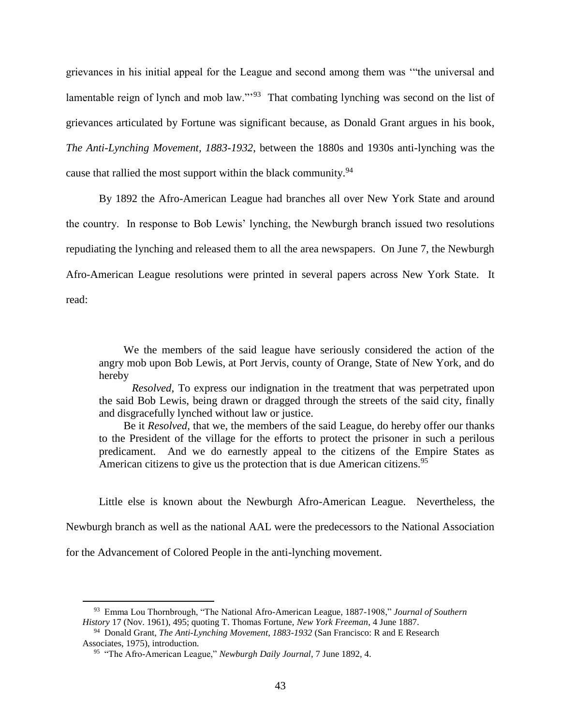grievances in his initial appeal for the League and second among them was '"the universal and lamentable reign of lynch and mob law."<sup>93</sup> That combating lynching was second on the list of grievances articulated by Fortune was significant because, as Donald Grant argues in his book, *The Anti-Lynching Movement, 1883-1932*, between the 1880s and 1930s anti-lynching was the cause that rallied the most support within the black community.<sup>94</sup>

By 1892 the Afro-American League had branches all over New York State and around the country. In response to Bob Lewis' lynching, the Newburgh branch issued two resolutions repudiating the lynching and released them to all the area newspapers. On June 7, the Newburgh Afro-American League resolutions were printed in several papers across New York State. It read:

We the members of the said league have seriously considered the action of the angry mob upon Bob Lewis, at Port Jervis, county of Orange, State of New York, and do hereby

 *Resolved*, To express our indignation in the treatment that was perpetrated upon the said Bob Lewis, being drawn or dragged through the streets of the said city, finally and disgracefully lynched without law or justice.

Be it *Resolved*, that we, the members of the said League, do hereby offer our thanks to the President of the village for the efforts to protect the prisoner in such a perilous predicament. And we do earnestly appeal to the citizens of the Empire States as American citizens to give us the protection that is due American citizens.<sup>95</sup>

Little else is known about the Newburgh Afro-American League. Nevertheless, the

Newburgh branch as well as the national AAL were the predecessors to the National Association

for the Advancement of Colored People in the anti-lynching movement.

<sup>93</sup> Emma Lou Thornbrough, "The National Afro-American League, 1887-1908," *Journal of Southern History* 17 (Nov. 1961), 495; quoting T. Thomas Fortune, *New York Freeman*, 4 June 1887.

<sup>94</sup> Donald Grant, *The Anti-Lynching Movement, 1883-1932* (San Francisco: R and E Research Associates, 1975), introduction.

<sup>95</sup> "The Afro-American League," *Newburgh Daily Journal*, 7 June 1892, 4.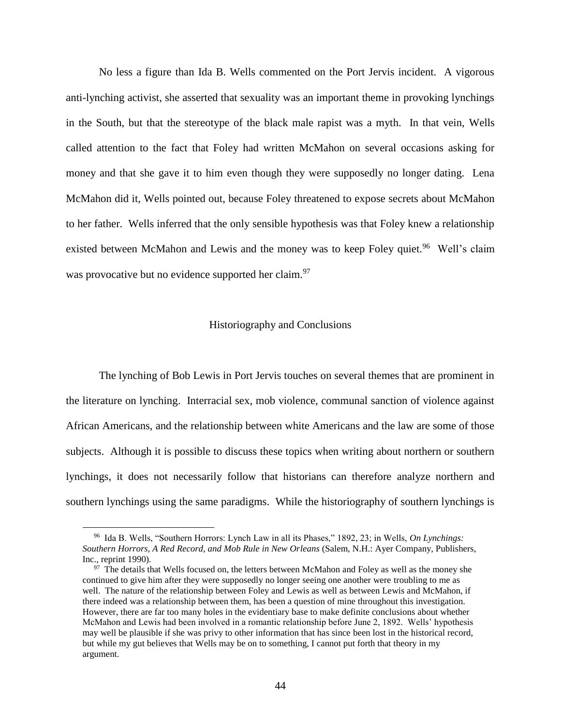No less a figure than Ida B. Wells commented on the Port Jervis incident. A vigorous anti-lynching activist, she asserted that sexuality was an important theme in provoking lynchings in the South, but that the stereotype of the black male rapist was a myth. In that vein, Wells called attention to the fact that Foley had written McMahon on several occasions asking for money and that she gave it to him even though they were supposedly no longer dating. Lena McMahon did it, Wells pointed out, because Foley threatened to expose secrets about McMahon to her father. Wells inferred that the only sensible hypothesis was that Foley knew a relationship existed between McMahon and Lewis and the money was to keep Foley quiet.<sup>96</sup> Well's claim was provocative but no evidence supported her claim.<sup>97</sup>

#### Historiography and Conclusions

The lynching of Bob Lewis in Port Jervis touches on several themes that are prominent in the literature on lynching. Interracial sex, mob violence, communal sanction of violence against African Americans, and the relationship between white Americans and the law are some of those subjects. Although it is possible to discuss these topics when writing about northern or southern lynchings, it does not necessarily follow that historians can therefore analyze northern and southern lynchings using the same paradigms. While the historiography of southern lynchings is

<sup>96</sup> Ida B. Wells, "Southern Horrors: Lynch Law in all its Phases," 1892, 23; in Wells, *On Lynchings: Southern Horrors, A Red Record, and Mob Rule in New Orleans* (Salem, N.H.: Ayer Company, Publishers, Inc., reprint 1990).

<sup>&</sup>lt;sup>97</sup> The details that Wells focused on, the letters between McMahon and Foley as well as the money she continued to give him after they were supposedly no longer seeing one another were troubling to me as well. The nature of the relationship between Foley and Lewis as well as between Lewis and McMahon, if there indeed was a relationship between them, has been a question of mine throughout this investigation. However, there are far too many holes in the evidentiary base to make definite conclusions about whether McMahon and Lewis had been involved in a romantic relationship before June 2, 1892. Wells' hypothesis may well be plausible if she was privy to other information that has since been lost in the historical record, but while my gut believes that Wells may be on to something, I cannot put forth that theory in my argument.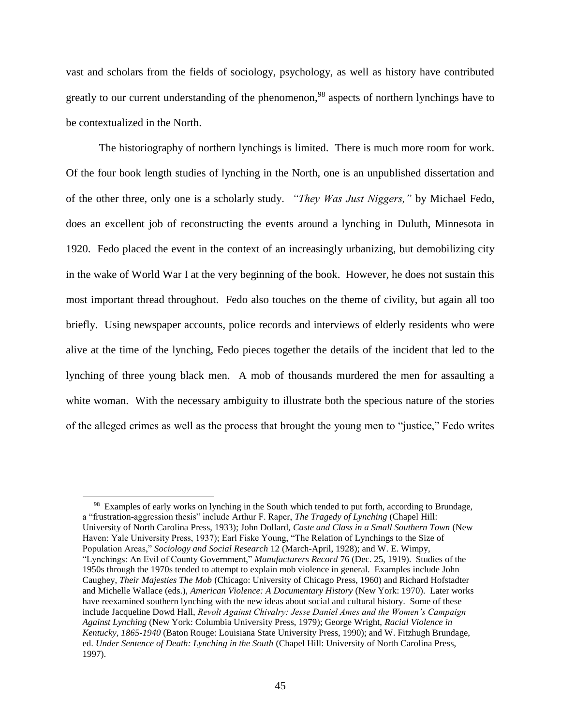vast and scholars from the fields of sociology, psychology, as well as history have contributed greatly to our current understanding of the phenomenon,<sup>98</sup> aspects of northern lynchings have to be contextualized in the North.

The historiography of northern lynchings is limited. There is much more room for work. Of the four book length studies of lynching in the North, one is an unpublished dissertation and of the other three, only one is a scholarly study. *"They Was Just Niggers,"* by Michael Fedo, does an excellent job of reconstructing the events around a lynching in Duluth, Minnesota in 1920. Fedo placed the event in the context of an increasingly urbanizing, but demobilizing city in the wake of World War I at the very beginning of the book. However, he does not sustain this most important thread throughout. Fedo also touches on the theme of civility, but again all too briefly. Using newspaper accounts, police records and interviews of elderly residents who were alive at the time of the lynching, Fedo pieces together the details of the incident that led to the lynching of three young black men. A mob of thousands murdered the men for assaulting a white woman. With the necessary ambiguity to illustrate both the specious nature of the stories of the alleged crimes as well as the process that brought the young men to "justice," Fedo writes

<sup>&</sup>lt;sup>98</sup> Examples of early works on lynching in the South which tended to put forth, according to Brundage, a "frustration-aggression thesis" include Arthur F. Raper, *The Tragedy of Lynching* (Chapel Hill: University of North Carolina Press, 1933); John Dollard, *Caste and Class in a Small Southern Town* (New Haven: Yale University Press, 1937); Earl Fiske Young, "The Relation of Lynchings to the Size of Population Areas," *Sociology and Social Research* 12 (March-April, 1928); and W. E. Wimpy, "Lynchings: An Evil of County Government," *Manufacturers Record* 76 (Dec. 25, 1919). Studies of the 1950s through the 1970s tended to attempt to explain mob violence in general. Examples include John Caughey, *Their Majesties The Mob* (Chicago: University of Chicago Press, 1960) and Richard Hofstadter and Michelle Wallace (eds.), *American Violence: A Documentary History* (New York: 1970). Later works have reexamined southern lynching with the new ideas about social and cultural history. Some of these include Jacqueline Dowd Hall, *Revolt Against Chivalry: Jesse Daniel Ames and the Women's Campaign Against Lynching* (New York: Columbia University Press, 1979); George Wright, *Racial Violence in Kentucky, 1865-1940* (Baton Rouge: Louisiana State University Press, 1990); and W. Fitzhugh Brundage, ed. *Under Sentence of Death: Lynching in the South* (Chapel Hill: University of North Carolina Press, 1997).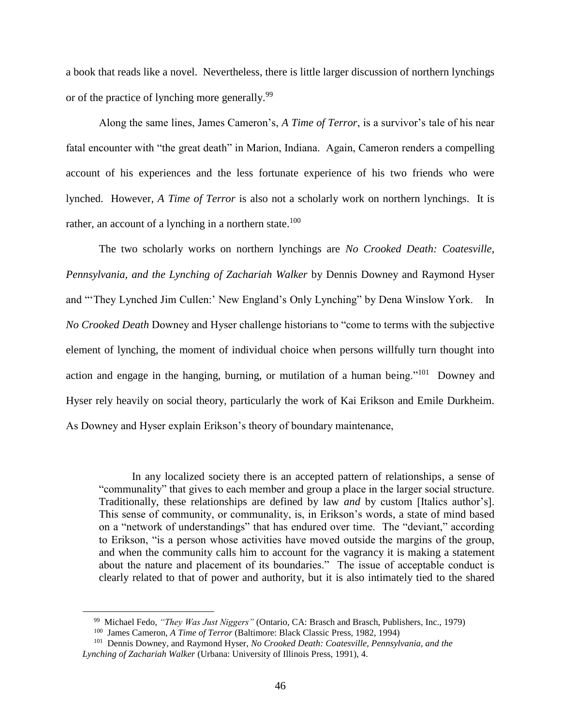a book that reads like a novel. Nevertheless, there is little larger discussion of northern lynchings or of the practice of lynching more generally.<sup>99</sup>

Along the same lines, James Cameron's, *A Time of Terror*, is a survivor's tale of his near fatal encounter with "the great death" in Marion, Indiana. Again, Cameron renders a compelling account of his experiences and the less fortunate experience of his two friends who were lynched. However, *A Time of Terror* is also not a scholarly work on northern lynchings. It is rather, an account of a lynching in a northern state. $100$ 

The two scholarly works on northern lynchings are *No Crooked Death: Coatesville, Pennsylvania, and the Lynching of Zachariah Walker* by Dennis Downey and Raymond Hyser and "'They Lynched Jim Cullen:' New England's Only Lynching" by Dena Winslow York. In *No Crooked Death* Downey and Hyser challenge historians to "come to terms with the subjective element of lynching, the moment of individual choice when persons willfully turn thought into action and engage in the hanging, burning, or mutilation of a human being."<sup>101</sup> Downey and Hyser rely heavily on social theory, particularly the work of Kai Erikson and Emile Durkheim. As Downey and Hyser explain Erikson's theory of boundary maintenance,

In any localized society there is an accepted pattern of relationships, a sense of "communality" that gives to each member and group a place in the larger social structure. Traditionally, these relationships are defined by law *and* by custom [Italics author's]. This sense of community, or communality, is, in Erikson's words, a state of mind based on a "network of understandings" that has endured over time. The "deviant," according to Erikson, "is a person whose activities have moved outside the margins of the group, and when the community calls him to account for the vagrancy it is making a statement about the nature and placement of its boundaries." The issue of acceptable conduct is clearly related to that of power and authority, but it is also intimately tied to the shared

<sup>99</sup> Michael Fedo, *"They Was Just Niggers"* (Ontario, CA: Brasch and Brasch, Publishers, Inc., 1979)

<sup>100</sup> James Cameron, *A Time of Terror* (Baltimore: Black Classic Press, 1982, 1994)

<sup>101</sup> Dennis Downey, and Raymond Hyser, *No Crooked Death: Coatesville, Pennsylvania, and the Lynching of Zachariah Walker* (Urbana: University of Illinois Press, 1991), 4.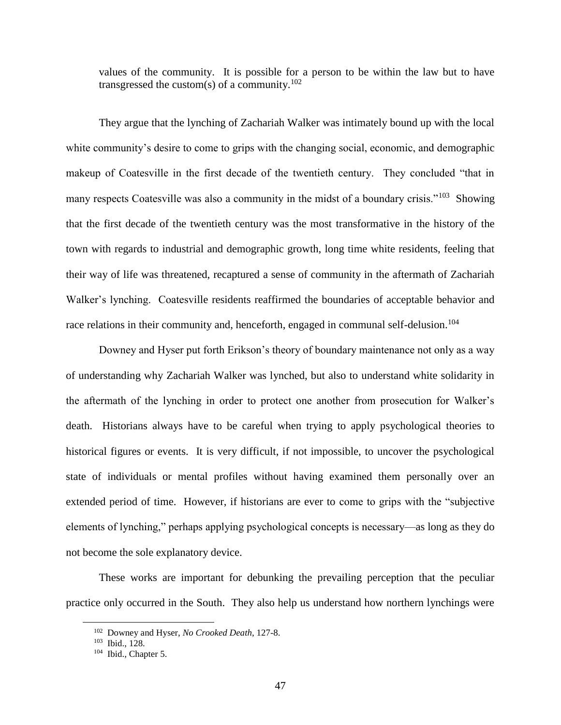values of the community. It is possible for a person to be within the law but to have transgressed the custom(s) of a community.<sup>102</sup>

They argue that the lynching of Zachariah Walker was intimately bound up with the local white community's desire to come to grips with the changing social, economic, and demographic makeup of Coatesville in the first decade of the twentieth century. They concluded "that in many respects Coatesville was also a community in the midst of a boundary crisis."<sup>103</sup> Showing that the first decade of the twentieth century was the most transformative in the history of the town with regards to industrial and demographic growth, long time white residents, feeling that their way of life was threatened, recaptured a sense of community in the aftermath of Zachariah Walker's lynching. Coatesville residents reaffirmed the boundaries of acceptable behavior and race relations in their community and, henceforth, engaged in communal self-delusion.<sup>104</sup>

Downey and Hyser put forth Erikson's theory of boundary maintenance not only as a way of understanding why Zachariah Walker was lynched, but also to understand white solidarity in the aftermath of the lynching in order to protect one another from prosecution for Walker's death. Historians always have to be careful when trying to apply psychological theories to historical figures or events. It is very difficult, if not impossible, to uncover the psychological state of individuals or mental profiles without having examined them personally over an extended period of time. However, if historians are ever to come to grips with the "subjective elements of lynching," perhaps applying psychological concepts is necessary—as long as they do not become the sole explanatory device.

These works are important for debunking the prevailing perception that the peculiar practice only occurred in the South. They also help us understand how northern lynchings were

<sup>102</sup> Downey and Hyser, *No Crooked Death*, 127-8.

<sup>103</sup> Ibid., 128.

<sup>&</sup>lt;sup>104</sup> Ibid., Chapter 5.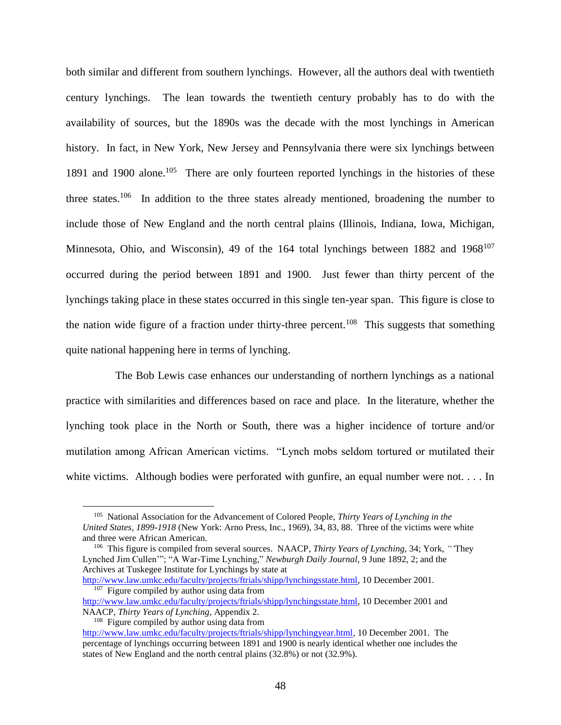both similar and different from southern lynchings. However, all the authors deal with twentieth century lynchings. The lean towards the twentieth century probably has to do with the availability of sources, but the 1890s was the decade with the most lynchings in American history. In fact, in New York, New Jersey and Pennsylvania there were six lynchings between 1891 and 1900 alone.<sup>105</sup> There are only fourteen reported lynchings in the histories of these three states.<sup>106</sup> In addition to the three states already mentioned, broadening the number to include those of New England and the north central plains (Illinois, Indiana, Iowa, Michigan, Minnesota, Ohio, and Wisconsin), 49 of the 164 total lynchings between 1882 and 1968<sup>107</sup> occurred during the period between 1891 and 1900. Just fewer than thirty percent of the lynchings taking place in these states occurred in this single ten-year span. This figure is close to the nation wide figure of a fraction under thirty-three percent.<sup>108</sup> This suggests that something quite national happening here in terms of lynching.

The Bob Lewis case enhances our understanding of northern lynchings as a national practice with similarities and differences based on race and place. In the literature, whether the lynching took place in the North or South, there was a higher incidence of torture and/or mutilation among African American victims. "Lynch mobs seldom tortured or mutilated their white victims. Although bodies were perforated with gunfire, an equal number were not. . . . In

<sup>105</sup> National Association for the Advancement of Colored People, *Thirty Years of Lynching in the United States, 1899-1918* (New York: Arno Press, Inc., 1969), 34, 83, 88. Three of the victims were white and three were African American.

<sup>106</sup> This figure is compiled from several sources. NAACP, *Thirty Years of Lynching*, 34; York, *"'*They Lynched Jim Cullen'"; "A War-Time Lynching," *Newburgh Daily Journal*, 9 June 1892, 2; and the Archives at Tuskegee Institute for Lynchings by state at [http://www.law.umkc.edu/faculty/projects/ftrials/shipp/lynchingsstate.html,](http://www.law.umkc.edu/faculty/projects/ftrials/shipp/lynchingsstate.html) 10 December 2001.

<sup>&</sup>lt;sup>107</sup> Figure compiled by author using data from

[http://www.law.umkc.edu/faculty/projects/ftrials/shipp/lynchingsstate.html,](http://www.law.umkc.edu/faculty/projects/ftrials/shipp/lynchingsstate.html) 10 December 2001 and NAACP, *Thirty Years of Lynching*, Appendix 2.

<sup>&</sup>lt;sup>108</sup> Figure compiled by author using data from [http://www.law.umkc.edu/faculty/projects/ftrials/shipp/lynchingyear.html,](http://www.law.umkc.edu/faculty/projects/ftrials/shipp/lynchingyear.html) 10 December 2001. The percentage of lynchings occurring between 1891 and 1900 is nearly identical whether one includes the states of New England and the north central plains (32.8%) or not (32.9%).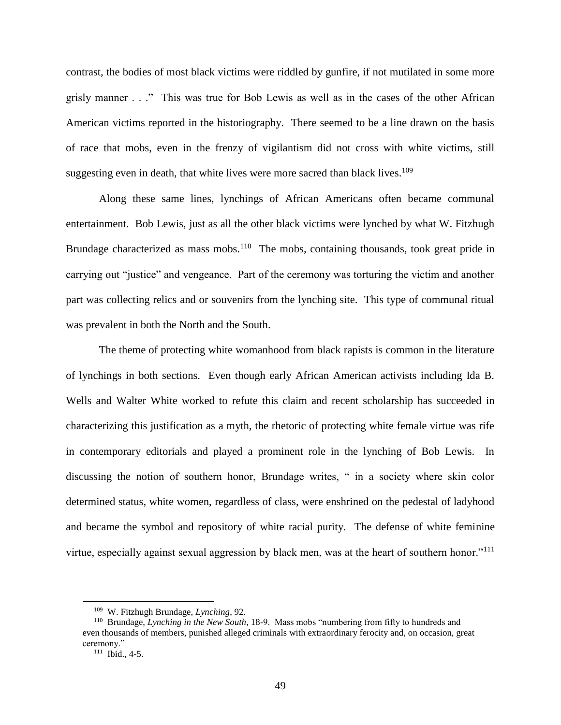contrast, the bodies of most black victims were riddled by gunfire, if not mutilated in some more grisly manner . . ." This was true for Bob Lewis as well as in the cases of the other African American victims reported in the historiography. There seemed to be a line drawn on the basis of race that mobs, even in the frenzy of vigilantism did not cross with white victims, still suggesting even in death, that white lives were more sacred than black lives.<sup>109</sup>

Along these same lines, lynchings of African Americans often became communal entertainment. Bob Lewis, just as all the other black victims were lynched by what W. Fitzhugh Brundage characterized as mass mobs.<sup>110</sup> The mobs, containing thousands, took great pride in carrying out "justice" and vengeance. Part of the ceremony was torturing the victim and another part was collecting relics and or souvenirs from the lynching site. This type of communal ritual was prevalent in both the North and the South.

The theme of protecting white womanhood from black rapists is common in the literature of lynchings in both sections. Even though early African American activists including Ida B. Wells and Walter White worked to refute this claim and recent scholarship has succeeded in characterizing this justification as a myth, the rhetoric of protecting white female virtue was rife in contemporary editorials and played a prominent role in the lynching of Bob Lewis. In discussing the notion of southern honor, Brundage writes, " in a society where skin color determined status, white women, regardless of class, were enshrined on the pedestal of ladyhood and became the symbol and repository of white racial purity. The defense of white feminine virtue, especially against sexual aggression by black men, was at the heart of southern honor."<sup>111</sup>

<sup>109</sup> W. Fitzhugh Brundage, *Lynching*, 92.

<sup>110</sup> Brundage, *Lynching in the New South*, 18-9. Mass mobs "numbering from fifty to hundreds and even thousands of members, punished alleged criminals with extraordinary ferocity and, on occasion, great ceremony."

 $111$  Ibid., 4-5.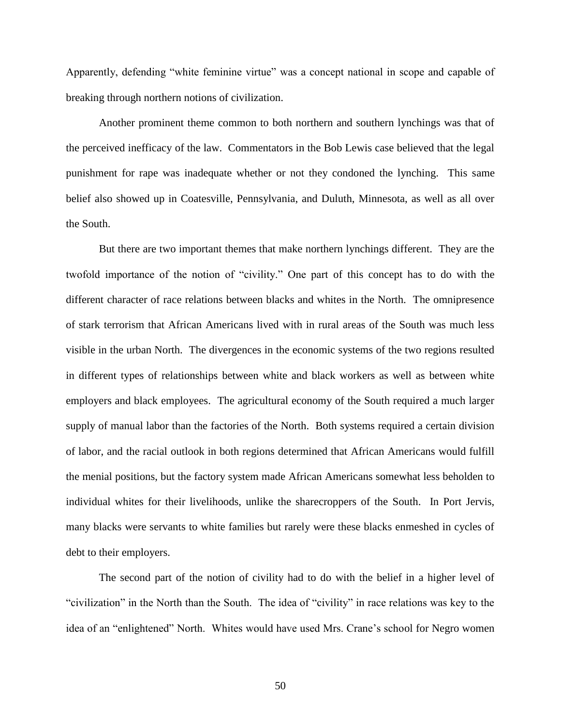Apparently, defending "white feminine virtue" was a concept national in scope and capable of breaking through northern notions of civilization.

Another prominent theme common to both northern and southern lynchings was that of the perceived inefficacy of the law. Commentators in the Bob Lewis case believed that the legal punishment for rape was inadequate whether or not they condoned the lynching. This same belief also showed up in Coatesville, Pennsylvania, and Duluth, Minnesota, as well as all over the South.

But there are two important themes that make northern lynchings different. They are the twofold importance of the notion of "civility." One part of this concept has to do with the different character of race relations between blacks and whites in the North. The omnipresence of stark terrorism that African Americans lived with in rural areas of the South was much less visible in the urban North. The divergences in the economic systems of the two regions resulted in different types of relationships between white and black workers as well as between white employers and black employees. The agricultural economy of the South required a much larger supply of manual labor than the factories of the North. Both systems required a certain division of labor, and the racial outlook in both regions determined that African Americans would fulfill the menial positions, but the factory system made African Americans somewhat less beholden to individual whites for their livelihoods, unlike the sharecroppers of the South. In Port Jervis, many blacks were servants to white families but rarely were these blacks enmeshed in cycles of debt to their employers.

The second part of the notion of civility had to do with the belief in a higher level of "civilization" in the North than the South. The idea of "civility" in race relations was key to the idea of an "enlightened" North. Whites would have used Mrs. Crane's school for Negro women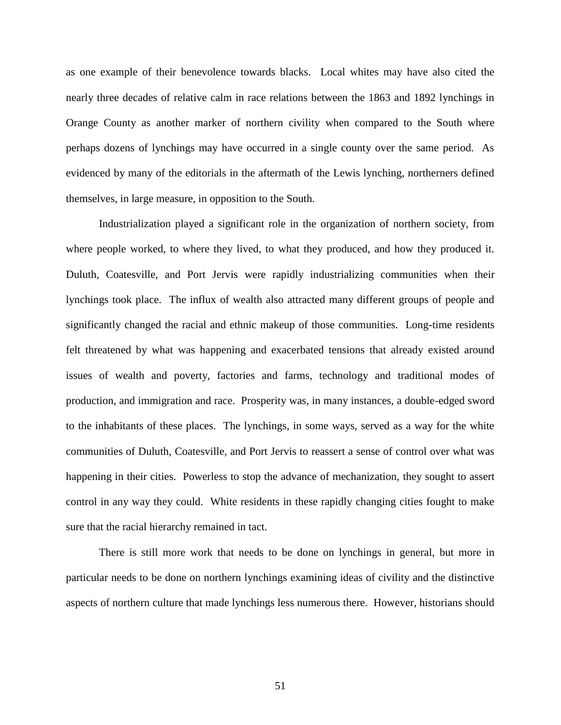as one example of their benevolence towards blacks. Local whites may have also cited the nearly three decades of relative calm in race relations between the 1863 and 1892 lynchings in Orange County as another marker of northern civility when compared to the South where perhaps dozens of lynchings may have occurred in a single county over the same period. As evidenced by many of the editorials in the aftermath of the Lewis lynching, northerners defined themselves, in large measure, in opposition to the South.

Industrialization played a significant role in the organization of northern society, from where people worked, to where they lived, to what they produced, and how they produced it. Duluth, Coatesville, and Port Jervis were rapidly industrializing communities when their lynchings took place. The influx of wealth also attracted many different groups of people and significantly changed the racial and ethnic makeup of those communities. Long-time residents felt threatened by what was happening and exacerbated tensions that already existed around issues of wealth and poverty, factories and farms, technology and traditional modes of production, and immigration and race. Prosperity was, in many instances, a double-edged sword to the inhabitants of these places. The lynchings, in some ways, served as a way for the white communities of Duluth, Coatesville, and Port Jervis to reassert a sense of control over what was happening in their cities. Powerless to stop the advance of mechanization, they sought to assert control in any way they could. White residents in these rapidly changing cities fought to make sure that the racial hierarchy remained in tact.

There is still more work that needs to be done on lynchings in general, but more in particular needs to be done on northern lynchings examining ideas of civility and the distinctive aspects of northern culture that made lynchings less numerous there. However, historians should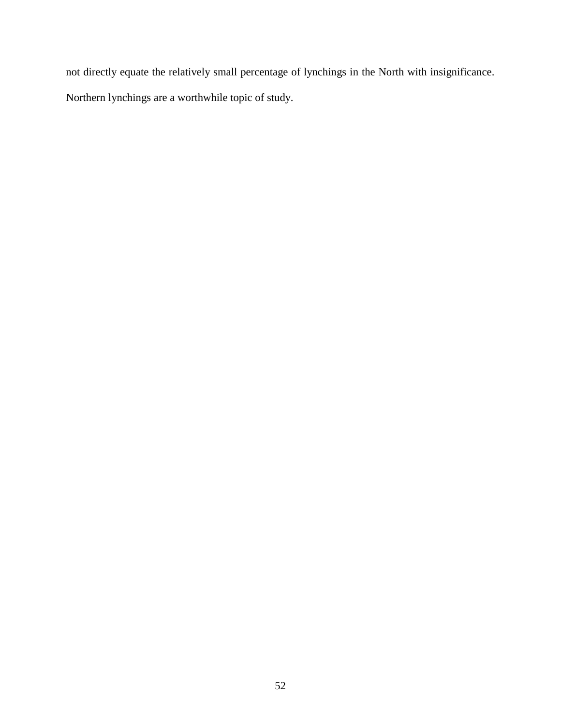not directly equate the relatively small percentage of lynchings in the North with insignificance. Northern lynchings are a worthwhile topic of study.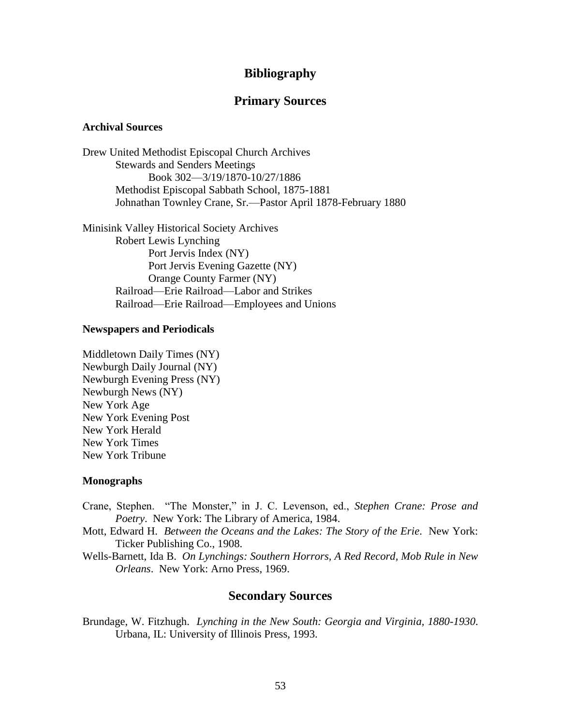#### **Bibliography**

#### **Primary Sources**

#### **Archival Sources**

Drew United Methodist Episcopal Church Archives Stewards and Senders Meetings Book 302—3/19/1870-10/27/1886 Methodist Episcopal Sabbath School, 1875-1881 Johnathan Townley Crane, Sr.—Pastor April 1878-February 1880

Minisink Valley Historical Society Archives Robert Lewis Lynching Port Jervis Index (NY) Port Jervis Evening Gazette (NY) Orange County Farmer (NY) Railroad—Erie Railroad—Labor and Strikes Railroad—Erie Railroad—Employees and Unions

#### **Newspapers and Periodicals**

Middletown Daily Times (NY) Newburgh Daily Journal (NY) Newburgh Evening Press (NY) Newburgh News (NY) New York Age New York Evening Post New York Herald New York Times New York Tribune

#### **Monographs**

- Crane, Stephen. "The Monster," in J. C. Levenson, ed., *Stephen Crane: Prose and Poetry*. New York: The Library of America, 1984.
- Mott, Edward H. *Between the Oceans and the Lakes: The Story of the Erie*. New York: Ticker Publishing Co., 1908.
- Wells-Barnett, Ida B. *On Lynchings: Southern Horrors, A Red Record, Mob Rule in New Orleans*. New York: Arno Press, 1969.

#### **Secondary Sources**

Brundage, W. Fitzhugh. *Lynching in the New South: Georgia and Virginia, 1880-1930*. Urbana, IL: University of Illinois Press, 1993.